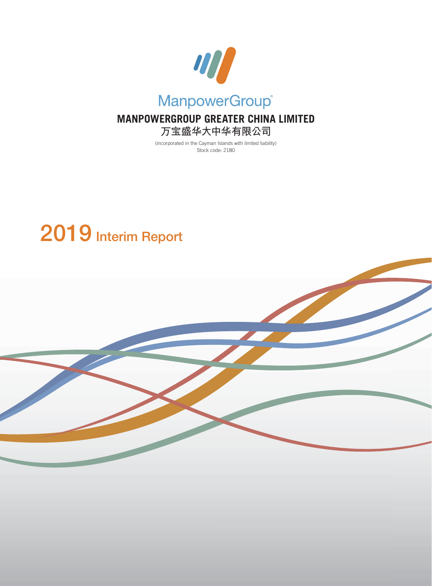

# **MANPOWERGROUP GREATER CHINA LIMITED 萬寶盛華大中華有限公司**

(incorporated in the Cayman Islands with limited liability) Stock code: 2180

# **2019 Interim Report**

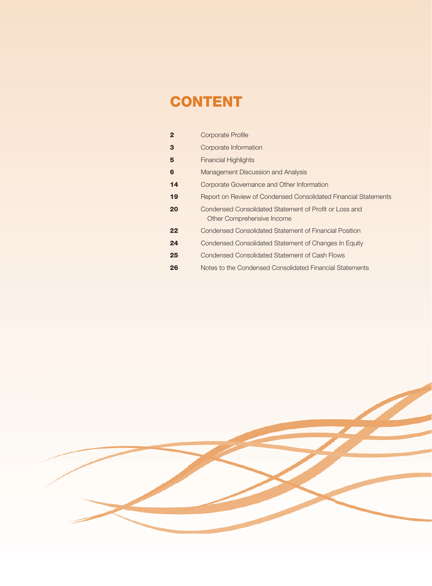# **CONTENT**

| $\mathbf{2}$ | <b>Corporate Profile</b>                                                             |
|--------------|--------------------------------------------------------------------------------------|
| 3            | Corporate Information                                                                |
| 5            | <b>Financial Highlights</b>                                                          |
| 6            | Management Discussion and Analysis                                                   |
| 14           | Corporate Governance and Other Information                                           |
| 19           | Report on Review of Condensed Consolidated Financial Statements                      |
| 20           | Condensed Consolidated Statement of Profit or Loss and<br>Other Comprehensive Income |
| 22           | Condensed Consolidated Statement of Financial Position                               |
| 24           | Condensed Consolidated Statement of Changes In Equity                                |
| 25           | Condensed Consolidated Statement of Cash Flows                                       |
| 26           | Notes to the Condensed Consolidated Financial Statements                             |

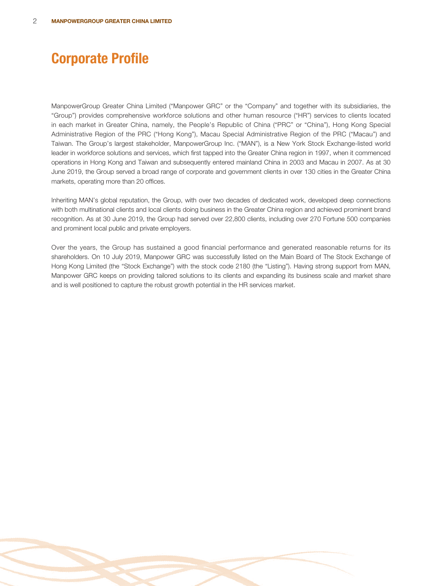# **Corporate Profile**

ManpowerGroup Greater China Limited ("Manpower GRC" or the "Company" and together with its subsidiaries, the "Group") provides comprehensive workforce solutions and other human resource ("HR") services to clients located in each market in Greater China, namely, the People's Republic of China ("PRC" or "China"), Hong Kong Special Administrative Region of the PRC ("Hong Kong"), Macau Special Administrative Region of the PRC ("Macau") and Taiwan. The Group's largest stakeholder, ManpowerGroup Inc. ("MAN"), is a New York Stock Exchange-listed world leader in workforce solutions and services, which first tapped into the Greater China region in 1997, when it commenced operations in Hong Kong and Taiwan and subsequently entered mainland China in 2003 and Macau in 2007. As at 30 June 2019, the Group served a broad range of corporate and government clients in over 130 cities in the Greater China markets, operating more than 20 offices.

Inheriting MAN's global reputation, the Group, with over two decades of dedicated work, developed deep connections with both multinational clients and local clients doing business in the Greater China region and achieved prominent brand recognition. As at 30 June 2019, the Group had served over 22,800 clients, including over 270 Fortune 500 companies and prominent local public and private employers.

Over the years, the Group has sustained a good financial performance and generated reasonable returns for its shareholders. On 10 July 2019, Manpower GRC was successfully listed on the Main Board of The Stock Exchange of Hong Kong Limited (the "Stock Exchange") with the stock code 2180 (the "Listing"). Having strong support from MAN, Manpower GRC keeps on providing tailored solutions to its clients and expanding its business scale and market share and is well positioned to capture the robust growth potential in the HR services market.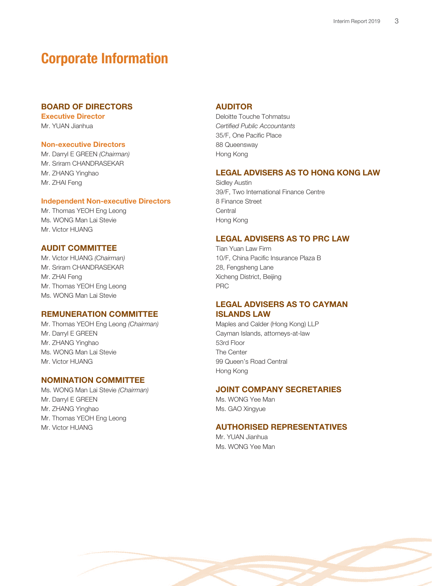# **Corporate Information**

# **BOARD OF DIRECTORS**

**Executive Director** Mr. YUAN Jianhua

# **Non-executive Directors**

Mr. Darryl E GREEN (Chairman) Mr. Sriram CHANDRASEKAR Mr. ZHANG Yinghao Mr. ZHAI Feng

### **Independent Non-executive Directors**

Mr. Thomas YEOH Eng Leong Ms. WONG Man Lai Stevie Mr. Victor HUANG

# **AUDIT COMMITTEE**

Mr. Victor HUANG (Chairman) Mr. Sriram CHANDRASEKAR Mr. ZHAI Feng Mr. Thomas YEOH Eng Leong Ms. WONG Man Lai Stevie

# **REMUNERATION COMMITTEE**

Mr. Thomas YEOH Eng Leong (Chairman) Mr. Darryl E GREEN Mr. ZHANG Yinghao Ms. WONG Man Lai Stevie Mr. Victor HUANG

# **NOMINATION COMMITTEE**

Ms. WONG Man Lai Stevie (Chairman) Mr. Darryl E GREEN Mr. ZHANG Yinghao Mr. Thomas YEOH Eng Leong Mr. Victor HUANG

# **AUDITOR**

Deloitte Touche Tohmatsu Certified Public Accountants 35/F, One Pacific Place 88 Queensway Hong Kong

# **LEGAL ADVISERS AS TO HONG KONG LAW**

Sidley Austin 39/F, Two International Finance Centre 8 Finance Street **Central** Hong Kong

### **LEGAL ADVISERS AS TO PRC LAW**

Tian Yuan Law Firm 10/F, China Pacific Insurance Plaza B 28, Fengsheng Lane Xicheng District, Beijing PRC

# **LEGAL ADVISERS AS TO CAYMAN ISLANDS LAW**

Maples and Calder (Hong Kong) LLP Cayman Islands, attorneys-at-law 53rd Floor The Center 99 Queen's Road Central Hong Kong

# **JOINT COMPANY SECRETARIES**

Ms. WONG Yee Man Ms. GAO Xingyue

# **AUTHORISED REPRESENTATIVES**

Mr. YI JAN Jianhua Ms. WONG Yee Man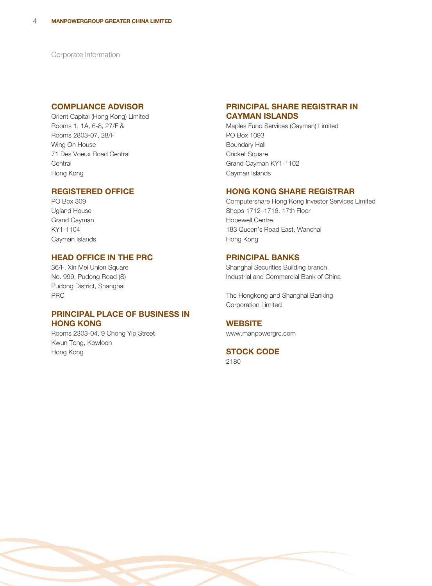Corporate Information

# **COMPLIANCE ADVISOR**

Orient Capital (Hong Kong) Limited Rooms 1, 1A, 6-8, 27/F & Rooms 2803-07, 28/F Wing On House 71 Des Voeux Road Central **Central** Hong Kong

# **REGISTERED OFFICE**

PO Box 309 Ugland House Grand Cayman KY1-1104 Cayman Islands

# **HEAD OFFICE IN THE PRC**

36/F, Xin Mei Union Square No. 999, Pudong Road (S) Pudong District, Shanghai PRC

# **PRINCIPAL PLACE OF BUSINESS IN HONG KONG**

Rooms 2303-04, 9 Chong Yip Street Kwun Tong, Kowloon Hong Kong

# **PRINCIPAL SHARE REGISTRAR IN CAYMAN ISLANDS**

Maples Fund Services (Cayman) Limited PO Box 1093 Boundary Hall Cricket Square Grand Cayman KY1-1102 Cayman Islands

# **HONG KONG SHARE REGISTRAR**

Computershare Hong Kong Investor Services Limited Shops 1712–1716, 17th Floor Hopewell Centre 183 Queen's Road East, Wanchai Hong Kong

# **PRINCIPAL BANKS**

Shanghai Securities Building branch, Industrial and Commercial Bank of China

The Hongkong and Shanghai Banking Corporation Limited

# **WEBSITE**

www.manpowergrc.com

# **STOCK CODE**

2180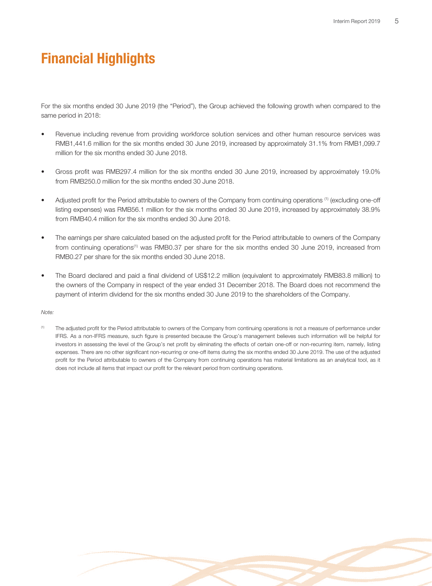# **Financial Highlights**

For the six months ended 30 June 2019 (the "Period"), the Group achieved the following growth when compared to the same period in 2018:

- Revenue including revenue from providing workforce solution services and other human resource services was RMB1,441.6 million for the six months ended 30 June 2019, increased by approximately 31.1% from RMB1,099.7 million for the six months ended 30 June 2018.
- Gross profit was RMB297.4 million for the six months ended 30 June 2019, increased by approximately 19.0% from RMB250.0 million for the six months ended 30 June 2018.
- Adjusted profit for the Period attributable to owners of the Company from continuing operations <sup>(1)</sup> (excluding one-off listing expenses) was RMB56.1 million for the six months ended 30 June 2019, increased by approximately 38.9% from RMB40.4 million for the six months ended 30 June 2018.
- The earnings per share calculated based on the adjusted profit for the Period attributable to owners of the Company from continuing operations<sup>(1)</sup> was RMB0.37 per share for the six months ended 30 June 2019, increased from RMB0.27 per share for the six months ended 30 June 2018.
- The Board declared and paid a final dividend of US\$12.2 million (equivalent to approximately RMB83.8 million) to the owners of the Company in respect of the year ended 31 December 2018. The Board does not recommend the payment of interim dividend for the six months ended 30 June 2019 to the shareholders of the Company.

### Note:

(1) The adjusted profit for the Period attributable to owners of the Company from continuing operations is not a measure of performance under IFRS. As a non-IFRS measure, such figure is presented because the Group's management believes such information will be helpful for investors in assessing the level of the Group's net profit by eliminating the effects of certain one-off or non-recurring item, namely, listing expenses. There are no other significant non-recurring or one-off items during the six months ended 30 June 2019. The use of the adjusted profit for the Period attributable to owners of the Company from continuing operations has material limitations as an analytical tool, as it does not include all items that impact our profit for the relevant period from continuing operations.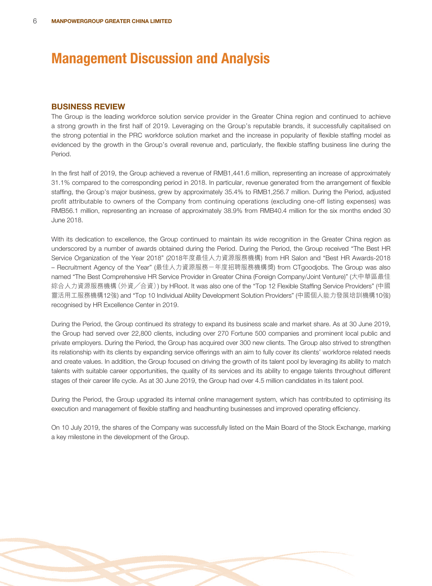# **BUSINESS REVIEW**

The Group is the leading workforce solution service provider in the Greater China region and continued to achieve a strong growth in the first half of 2019. Leveraging on the Group's reputable brands, it successfully capitalised on the strong potential in the PRC workforce solution market and the increase in popularity of flexible staffing model as evidenced by the growth in the Group's overall revenue and, particularly, the flexible staffing business line during the Period.

In the first half of 2019, the Group achieved a revenue of RMB1,441.6 million, representing an increase of approximately 31.1% compared to the corresponding period in 2018. In particular, revenue generated from the arrangement of flexible staffing, the Group's major business, grew by approximately 35.4% to RMB1,256.7 million. During the Period, adjusted profit attributable to owners of the Company from continuing operations (excluding one-off listing expenses) was RMB56.1 million, representing an increase of approximately 38.9% from RMB40.4 million for the six months ended 30 June 2018.

With its dedication to excellence, the Group continued to maintain its wide recognition in the Greater China region as underscored by a number of awards obtained during the Period. During the Period, the Group received "The Best HR Service Organization of the Year 2018" (2018年度最佳人力資源服務機構) from HR Salon and "Best HR Awards-2018 – Recruitment Agency of the Year" (最佳人力資源服務-年度招聘服務機構獎) from CTgoodjobs. The Group was also named "The Best Comprehensive HR Service Provider in Greater China (Foreign Company/Joint Venture)" (大中華區最佳 綜合人力資源服務機構(外資╱合資)) by HRoot. It was also one of the "Top 12 Flexible Staffing Service Providers" (中國 靈活用工服務機構12強) and "Top 10 Individual Ability Development Solution Providers" (中國個人能力發展培訓機構10強) recognised by HR Excellence Center in 2019.

During the Period, the Group continued its strategy to expand its business scale and market share. As at 30 June 2019, the Group had served over 22,800 clients, including over 270 Fortune 500 companies and prominent local public and private employers. During the Period, the Group has acquired over 300 new clients. The Group also strived to strengthen its relationship with its clients by expanding service offerings with an aim to fully cover its clients' workforce related needs and create values. In addition, the Group focused on driving the growth of its talent pool by leveraging its ability to match talents with suitable career opportunities, the quality of its services and its ability to engage talents throughout different stages of their career life cycle. As at 30 June 2019, the Group had over 4.5 million candidates in its talent pool.

During the Period, the Group upgraded its internal online management system, which has contributed to optimising its execution and management of flexible staffing and headhunting businesses and improved operating efficiency.

On 10 July 2019, the shares of the Company was successfully listed on the Main Board of the Stock Exchange, marking a key milestone in the development of the Group.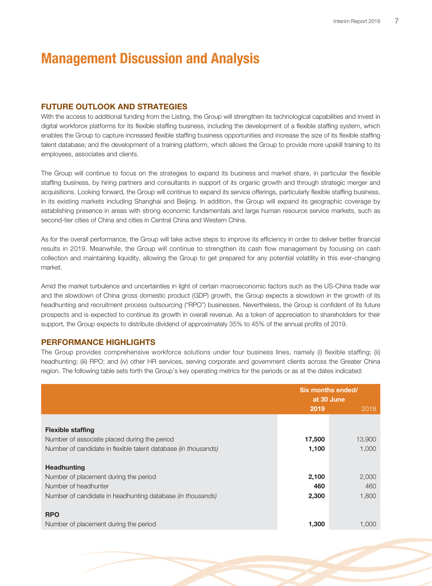# **FUTURE OUTLOOK AND STRATEGIES**

With the access to additional funding from the Listing, the Group will strengthen its technological capabilities and invest in digital workforce platforms for its flexible staffing business, including the development of a flexible staffing system, which enables the Group to capture increased flexible staffing business opportunities and increase the size of its flexible staffing talent database; and the development of a training platform, which allows the Group to provide more upskill training to its employees, associates and clients.

The Group will continue to focus on the strategies to expand its business and market share, in particular the flexible staffing business, by hiring partners and consultants in support of its organic growth and through strategic merger and acquisitions. Looking forward, the Group will continue to expand its service offerings, particularly flexible staffing business, in its existing markets including Shanghai and Beijing. In addition, the Group will expand its geographic coverage by establishing presence in areas with strong economic fundamentals and large human resource service markets, such as second-tier cities of China and cities in Central China and Western China.

As for the overall performance, the Group will take active steps to improve its efficiency in order to deliver better financial results in 2019. Meanwhile, the Group will continue to strengthen its cash flow management by focusing on cash collection and maintaining liquidity, allowing the Group to get prepared for any potential volatility in this ever-changing market.

Amid the market turbulence and uncertainties in light of certain macroeconomic factors such as the US-China trade war and the slowdown of China gross domestic product (GDP) growth, the Group expects a slowdown in the growth of its headhunting and recruitment process outsourcing ("RPO") businesses. Nevertheless, the Group is confident of its future prospects and is expected to continue its growth in overall revenue. As a token of appreciation to shareholders for their support, the Group expects to distribute dividend of approximately 35% to 45% of the annual profits of 2019.

# **PERFORMANCE HIGHLIGHTS**

The Group provides comprehensive workforce solutions under four business lines, namely (i) flexible staffing; (ii) headhunting; (iii) RPO; and (iv) other HR services, serving corporate and government clients across the Greater China region. The following table sets forth the Group's key operating metrics for the periods or as at the dates indicated:

|                                                                | Six months ended/<br>at 30 June |        |  |
|----------------------------------------------------------------|---------------------------------|--------|--|
|                                                                | 2019                            | 2018   |  |
|                                                                |                                 |        |  |
| <b>Flexible staffing</b>                                       |                                 |        |  |
| Number of associate placed during the period                   | 17,500                          | 13,900 |  |
| Number of candidate in flexible talent database (in thousands) | 1,100                           | 1,000  |  |
|                                                                |                                 |        |  |
| <b>Headhunting</b>                                             |                                 |        |  |
| Number of placement during the period                          | 2,100                           | 2,000  |  |
| Number of headhunter                                           | 460                             | 460    |  |
| Number of candidate in headhunting database (in thousands)     | 2,300                           | 1,800  |  |
|                                                                |                                 |        |  |
| <b>RPO</b>                                                     |                                 |        |  |
| Number of placement during the period                          | 1,300                           | 1.000  |  |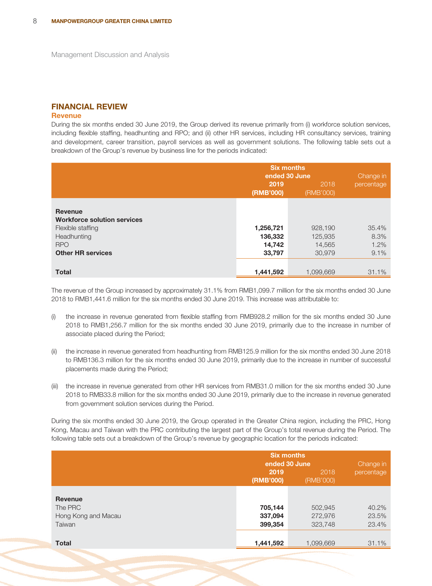# **FINANCIAL REVIEW**

### **Revenue**

During the six months ended 30 June 2019, the Group derived its revenue primarily from (i) workforce solution services, including flexible staffing, headhunting and RPO; and (ii) other HR services, including HR consultancy services, training and development, career transition, payroll services as well as government solutions. The following table sets out a breakdown of the Group's revenue by business line for the periods indicated:

|                                                      | <b>Six months</b><br>ended 30 June | Change in  |       |
|------------------------------------------------------|------------------------------------|------------|-------|
|                                                      | 2019<br>(RMB'000)                  | percentage |       |
| <b>Revenue</b><br><b>Workforce solution services</b> |                                    |            |       |
| Flexible staffing                                    | 1,256,721                          | 928,190    | 35.4% |
| Headhunting                                          | 136,332                            | 125,935    | 8.3%  |
| <b>RPO</b>                                           | 14,742                             | 14,565     | 1.2%  |
| <b>Other HR services</b>                             | 33,797                             | 30,979     | 9.1%  |
|                                                      |                                    |            |       |
| <b>Total</b>                                         | 1,441,592                          | 1,099,669  | 31.1% |

The revenue of the Group increased by approximately 31.1% from RMB1,099.7 million for the six months ended 30 June 2018 to RMB1,441.6 million for the six months ended 30 June 2019. This increase was attributable to:

- (i) the increase in revenue generated from flexible staffing from RMB928.2 million for the six months ended 30 June 2018 to RMB1,256.7 million for the six months ended 30 June 2019, primarily due to the increase in number of associate placed during the Period;
- (ii) the increase in revenue generated from headhunting from RMB125.9 million for the six months ended 30 June 2018 to RMB136.3 million for the six months ended 30 June 2019, primarily due to the increase in number of successful placements made during the Period;
- (iii) the increase in revenue generated from other HR services from RMB31.0 million for the six months ended 30 June 2018 to RMB33.8 million for the six months ended 30 June 2019, primarily due to the increase in revenue generated from government solution services during the Period.

During the six months ended 30 June 2019, the Group operated in the Greater China region, including the PRC, Hong Kong, Macau and Taiwan with the PRC contributing the largest part of the Group's total revenue during the Period. The following table sets out a breakdown of the Group's revenue by geographic location for the periods indicated:

|                     | <b>Six months</b><br>ended 30 June | Change in         |            |
|---------------------|------------------------------------|-------------------|------------|
|                     | 2019<br>(RMB'000)                  | 2018<br>(RMB'000) | percentage |
| <b>Revenue</b>      |                                    |                   |            |
| The PRC             | 705,144                            | 502,945           | 40.2%      |
| Hong Kong and Macau | 337,094                            | 272,976           | 23.5%      |
| Taiwan              | 399,354                            | 323,748           | 23.4%      |
|                     |                                    |                   |            |
| <b>Total</b>        | 1,441,592                          | 1,099,669         | 31.1%      |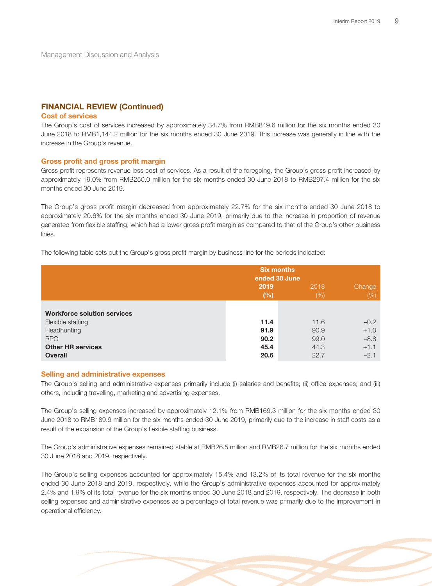# **FINANCIAL REVIEW (Continued)**

### **Cost of services**

The Group's cost of services increased by approximately 34.7% from RMB849.6 million for the six months ended 30 June 2018 to RMB1,144.2 million for the six months ended 30 June 2019. This increase was generally in line with the increase in the Group's revenue.

### **Gross profit and gross profit margin**

Gross profit represents revenue less cost of services. As a result of the foregoing, the Group's gross profit increased by approximately 19.0% from RMB250.0 million for the six months ended 30 June 2018 to RMB297.4 million for the six months ended 30 June 2019.

The Group's gross profit margin decreased from approximately 22.7% for the six months ended 30 June 2018 to approximately 20.6% for the six months ended 30 June 2019, primarily due to the increase in proportion of revenue generated from flexible staffing, which had a lower gross profit margin as compared to that of the Group's other business lines.

The following table sets out the Group's gross profit margin by business line for the periods indicated:

|                                    |             | <b>Six months</b><br>ended 30 June |                |
|------------------------------------|-------------|------------------------------------|----------------|
|                                    | 2019<br>(%) | 2018<br>$(\%)$                     | Change<br>(% ) |
| <b>Workforce solution services</b> |             |                                    |                |
| Flexible staffing                  | 11.4        | 11.6                               | $-0.2$         |
| Headhunting                        | 91.9        | 90.9                               | $+1.0$         |
| <b>RPO</b>                         | 90.2        | 99.0                               | $-8.8$         |
| <b>Other HR services</b>           | 45.4        | 44.3                               | $+1.1$         |
| <b>Overall</b>                     | 20.6        | 22.7                               | $-2.1$         |

### **Selling and administrative expenses**

The Group's selling and administrative expenses primarily include (i) salaries and benefits; (ii) office expenses; and (iii) others, including travelling, marketing and advertising expenses.

The Group's selling expenses increased by approximately 12.1% from RMB169.3 million for the six months ended 30 June 2018 to RMB189.9 million for the six months ended 30 June 2019, primarily due to the increase in staff costs as a result of the expansion of the Group's flexible staffing business.

The Group's administrative expenses remained stable at RMB26.5 million and RMB26.7 million for the six months ended 30 June 2018 and 2019, respectively.

The Group's selling expenses accounted for approximately 15.4% and 13.2% of its total revenue for the six months ended 30 June 2018 and 2019, respectively, while the Group's administrative expenses accounted for approximately 2.4% and 1.9% of its total revenue for the six months ended 30 June 2018 and 2019, respectively. The decrease in both selling expenses and administrative expenses as a percentage of total revenue was primarily due to the improvement in operational efficiency.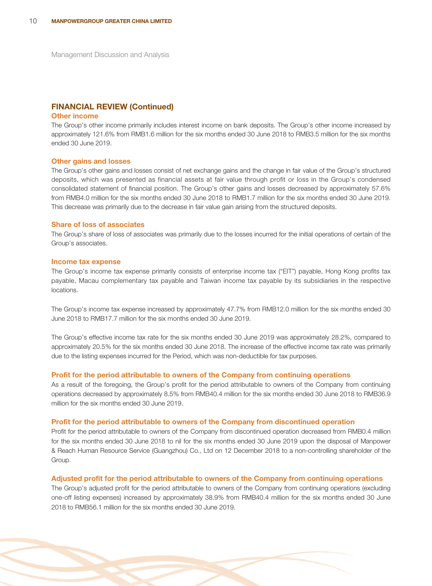### **FINANCIAL REVIEW (Continued)**

### **Other income**

The Group's other income primarily includes interest income on bank deposits. The Group's other income increased by approximately 121.6% from RMB1.6 million for the six months ended 30 June 2018 to RMB3.5 million for the six months ended 30 June 2019.

#### **Other gains and losses**

The Group's other gains and losses consist of net exchange gains and the change in fair value of the Group's structured deposits, which was presented as financial assets at fair value through profit or loss in the Group's condensed consolidated statement of financial position. The Group's other gains and losses decreased by approximately 57.6% from RMB4.0 million for the six months ended 30 June 2018 to RMB1.7 million for the six months ended 30 June 2019. This decrease was primarily due to the decrease in fair value gain arising from the structured deposits.

### **Share of loss of associates**

The Group's share of loss of associates was primarily due to the losses incurred for the initial operations of certain of the Group's associates.

#### **Income tax expense**

The Group's income tax expense primarily consists of enterprise income tax ("EIT") payable, Hong Kong profits tax payable, Macau complementary tax payable and Taiwan income tax payable by its subsidiaries in the respective locations.

The Group's income tax expense increased by approximately 47.7% from RMB12.0 million for the six months ended 30 June 2018 to RMB17.7 million for the six months ended 30 June 2019.

The Group's effective income tax rate for the six months ended 30 June 2019 was approximately 28.2%, compared to approximately 20.5% for the six months ended 30 June 2018. The increase of the effective income tax rate was primarily due to the listing expenses incurred for the Period, which was non-deductible for tax purposes.

#### **Profit for the period attributable to owners of the Company from continuing operations**

As a result of the foregoing, the Group's profit for the period attributable to owners of the Company from continuing operations decreased by approximately 8.5% from RMB40.4 million for the six months ended 30 June 2018 to RMB36.9 million for the six months ended 30 June 2019.

### **Profit for the period attributable to owners of the Company from discontinued operation**

Profit for the period attributable to owners of the Company from discontinued operation decreased from RMB0.4 million for the six months ended 30 June 2018 to nil for the six months ended 30 June 2019 upon the disposal of Manpower & Reach Human Resource Service (Guangzhou) Co., Ltd on 12 December 2018 to a non-controlling shareholder of the Group.

### **Adjusted profit for the period attributable to owners of the Company from continuing operations**

The Group's adjusted profit for the period attributable to owners of the Company from continuing operations (excluding one-off listing expenses) increased by approximately 38.9% from RMB40.4 million for the six months ended 30 June 2018 to RMB56.1 million for the six months ended 30 June 2019.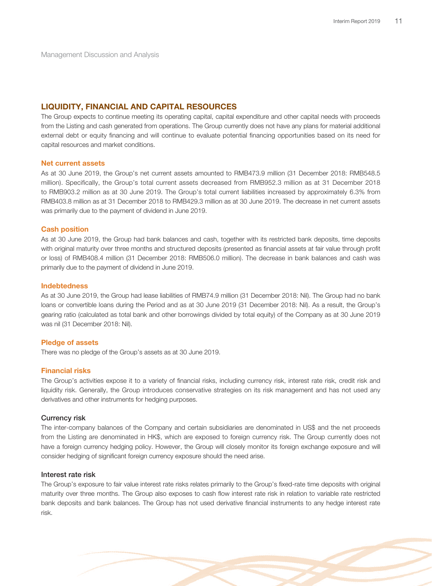### **LIQUIDITY, FINANCIAL AND CAPITAL RESOURCES**

The Group expects to continue meeting its operating capital, capital expenditure and other capital needs with proceeds from the Listing and cash generated from operations. The Group currently does not have any plans for material additional external debt or equity financing and will continue to evaluate potential financing opportunities based on its need for capital resources and market conditions.

### **Net current assets**

As at 30 June 2019, the Group's net current assets amounted to RMB473.9 million (31 December 2018: RMB548.5 million). Specifically, the Group's total current assets decreased from RMB952.3 million as at 31 December 2018 to RMB903.2 million as at 30 June 2019. The Group's total current liabilities increased by approximately 6.3% from RMB403.8 million as at 31 December 2018 to RMB429.3 million as at 30 June 2019. The decrease in net current assets was primarily due to the payment of dividend in June 2019.

#### **Cash position**

As at 30 June 2019, the Group had bank balances and cash, together with its restricted bank deposits, time deposits with original maturity over three months and structured deposits (presented as financial assets at fair value through profit or loss) of RMB408.4 million (31 December 2018: RMB506.0 million). The decrease in bank balances and cash was primarily due to the payment of dividend in June 2019.

### **Indebtedness**

As at 30 June 2019, the Group had lease liabilities of RMB74.9 million (31 December 2018: Nil). The Group had no bank loans or convertible loans during the Period and as at 30 June 2019 (31 December 2018: Nil). As a result, the Group's gearing ratio (calculated as total bank and other borrowings divided by total equity) of the Company as at 30 June 2019 was nil (31 December 2018: Nil).

### **Pledge of assets**

There was no pledge of the Group's assets as at 30 June 2019.

### **Financial risks**

The Group's activities expose it to a variety of financial risks, including currency risk, interest rate risk, credit risk and liquidity risk. Generally, the Group introduces conservative strategies on its risk management and has not used any derivatives and other instruments for hedging purposes.

### **Currency risk**

The inter-company balances of the Company and certain subsidiaries are denominated in US\$ and the net proceeds from the Listing are denominated in HK\$, which are exposed to foreign currency risk. The Group currently does not have a foreign currency hedging policy. However, the Group will closely monitor its foreign exchange exposure and will consider hedging of significant foreign currency exposure should the need arise.

### **Interest rate risk**

The Group's exposure to fair value interest rate risks relates primarily to the Group's fixed-rate time deposits with original maturity over three months. The Group also exposes to cash flow interest rate risk in relation to variable rate restricted bank deposits and bank balances. The Group has not used derivative financial instruments to any hedge interest rate risk.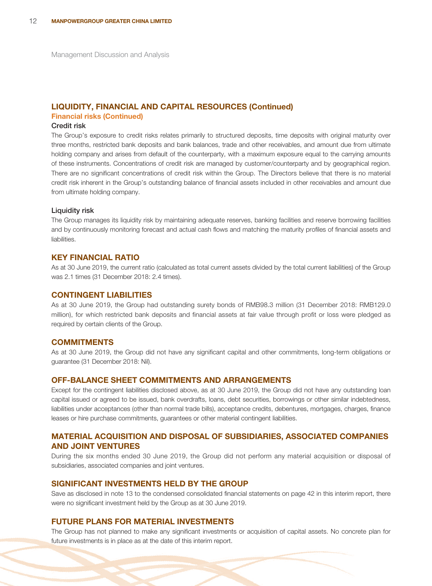### **LIQUIDITY, FINANCIAL AND CAPITAL RESOURCES (Continued)**

### **Financial risks (Continued)**

### **Credit risk**

The Group's exposure to credit risks relates primarily to structured deposits, time deposits with original maturity over three months, restricted bank deposits and bank balances, trade and other receivables, and amount due from ultimate holding company and arises from default of the counterparty, with a maximum exposure equal to the carrying amounts of these instruments. Concentrations of credit risk are managed by customer/counterparty and by geographical region. There are no significant concentrations of credit risk within the Group. The Directors believe that there is no material credit risk inherent in the Group's outstanding balance of financial assets included in other receivables and amount due from ultimate holding company.

### **Liquidity risk**

The Group manages its liquidity risk by maintaining adequate reserves, banking facilities and reserve borrowing facilities and by continuously monitoring forecast and actual cash flows and matching the maturity profiles of financial assets and liabilities.

### **KEY FINANCIAL RATIO**

As at 30 June 2019, the current ratio (calculated as total current assets divided by the total current liabilities) of the Group was 2.1 times (31 December 2018: 2.4 times).

### **CONTINGENT LIABILITIES**

As at 30 June 2019, the Group had outstanding surety bonds of RMB98.3 million (31 December 2018: RMB129.0 million), for which restricted bank deposits and financial assets at fair value through profit or loss were pledged as required by certain clients of the Group.

### **COMMITMENTS**

As at 30 June 2019, the Group did not have any significant capital and other commitments, long-term obligations or guarantee (31 December 2018: Nil).

### **OFF-BALANCE SHEET COMMITMENTS AND ARRANGEMENTS**

Except for the contingent liabilities disclosed above, as at 30 June 2019, the Group did not have any outstanding loan capital issued or agreed to be issued, bank overdrafts, loans, debt securities, borrowings or other similar indebtedness, liabilities under acceptances (other than normal trade bills), acceptance credits, debentures, mortgages, charges, finance leases or hire purchase commitments, guarantees or other material contingent liabilities.

# **MATERIAL ACQUISITION AND DISPOSAL OF SUBSIDIARIES, ASSOCIATED COMPANIES AND JOINT VENTURES**

During the six months ended 30 June 2019, the Group did not perform any material acquisition or disposal of subsidiaries, associated companies and joint ventures.

### **SIGNIFICANT INVESTMENTS HELD BY THE GROUP**

Save as disclosed in note 13 to the condensed consolidated financial statements on page 42 in this interim report, there were no significant investment held by the Group as at 30 June 2019.

### **FUTURE PLANS FOR MATERIAL INVESTMENTS**

The Group has not planned to make any significant investments or acquisition of capital assets. No concrete plan for future investments is in place as at the date of this interim report.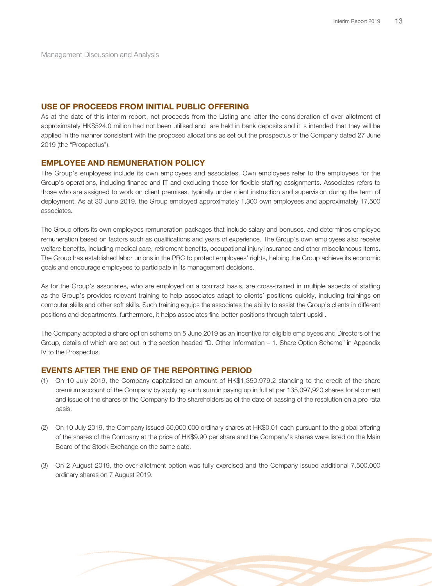### **USE OF PROCEEDS FROM INITIAL PUBLIC OFFERING**

As at the date of this interim report, net proceeds from the Listing and after the consideration of over-allotment of approximately HK\$524.0 million had not been utilised and are held in bank deposits and it is intended that they will be applied in the manner consistent with the proposed allocations as set out the prospectus of the Company dated 27 June 2019 (the "Prospectus").

### **EMPLOYEE AND REMUNERATION POLICY**

The Group's employees include its own employees and associates. Own employees refer to the employees for the Group's operations, including finance and IT and excluding those for flexible staffing assignments. Associates refers to those who are assigned to work on client premises, typically under client instruction and supervision during the term of deployment. As at 30 June 2019, the Group employed approximately 1,300 own employees and approximately 17,500 associates.

The Group offers its own employees remuneration packages that include salary and bonuses, and determines employee remuneration based on factors such as qualifications and years of experience. The Group's own employees also receive welfare benefits, including medical care, retirement benefits, occupational injury insurance and other miscellaneous items. The Group has established labor unions in the PRC to protect employees' rights, helping the Group achieve its economic goals and encourage employees to participate in its management decisions.

As for the Group's associates, who are employed on a contract basis, are cross-trained in multiple aspects of staffing as the Group's provides relevant training to help associates adapt to clients' positions quickly, including trainings on computer skills and other soft skills. Such training equips the associates the ability to assist the Group's clients in different positions and departments, furthermore, it helps associates find better positions through talent upskill.

The Company adopted a share option scheme on 5 June 2019 as an incentive for eligible employees and Directors of the Group, details of which are set out in the section headed "D. Other Information – 1. Share Option Scheme" in Appendix IV to the Prospectus.

### **EVENTS AFTER THE END OF THE REPORTING PERIOD**

- (1) On 10 July 2019, the Company capitalised an amount of HK\$1,350,979.2 standing to the credit of the share premium account of the Company by applying such sum in paying up in full at par 135,097,920 shares for allotment and issue of the shares of the Company to the shareholders as of the date of passing of the resolution on a pro rata basis.
- (2) On 10 July 2019, the Company issued 50,000,000 ordinary shares at HK\$0.01 each pursuant to the global offering of the shares of the Company at the price of HK\$9.90 per share and the Company's shares were listed on the Main Board of the Stock Exchange on the same date.
- (3) On 2 August 2019, the over-allotment option was fully exercised and the Company issued additional 7,500,000 ordinary shares on 7 August 2019.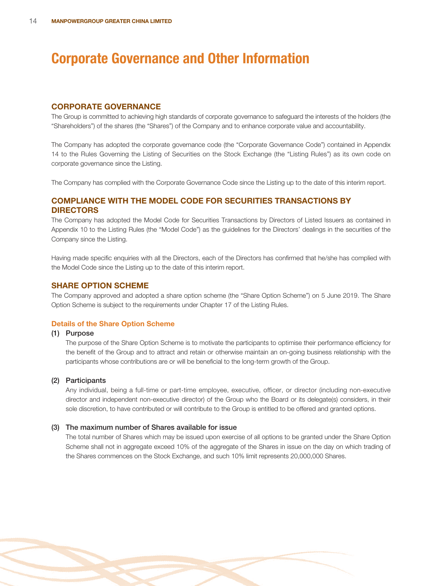### **CORPORATE GOVERNANCE**

The Group is committed to achieving high standards of corporate governance to safeguard the interests of the holders (the "Shareholders") of the shares (the "Shares") of the Company and to enhance corporate value and accountability.

The Company has adopted the corporate governance code (the "Corporate Governance Code") contained in Appendix 14 to the Rules Governing the Listing of Securities on the Stock Exchange (the "Listing Rules") as its own code on corporate governance since the Listing.

The Company has complied with the Corporate Governance Code since the Listing up to the date of this interim report.

# **COMPLIANCE WITH THE MODEL CODE FOR SECURITIES TRANSACTIONS BY DIRECTORS**

The Company has adopted the Model Code for Securities Transactions by Directors of Listed Issuers as contained in Appendix 10 to the Listing Rules (the "Model Code") as the guidelines for the Directors' dealings in the securities of the Company since the Listing.

Having made specific enquiries with all the Directors, each of the Directors has confirmed that he/she has complied with the Model Code since the Listing up to the date of this interim report.

### **SHARE OPTION SCHEME**

The Company approved and adopted a share option scheme (the "Share Option Scheme") on 5 June 2019. The Share Option Scheme is subject to the requirements under Chapter 17 of the Listing Rules.

### **Details of the Share Option Scheme**

### **(1) Purpose**

The purpose of the Share Option Scheme is to motivate the participants to optimise their performance efficiency for the benefit of the Group and to attract and retain or otherwise maintain an on-going business relationship with the participants whose contributions are or will be beneficial to the long-term growth of the Group.

### **(2) Participants**

Any individual, being a full-time or part-time employee, executive, officer, or director (including non-executive director and independent non-executive director) of the Group who the Board or its delegate(s) considers, in their sole discretion, to have contributed or will contribute to the Group is entitled to be offered and granted options.

### **(3) The maximum number of Shares available for issue**

The total number of Shares which may be issued upon exercise of all options to be granted under the Share Option Scheme shall not in aggregate exceed 10% of the aggregate of the Shares in issue on the day on which trading of the Shares commences on the Stock Exchange, and such 10% limit represents 20,000,000 Shares.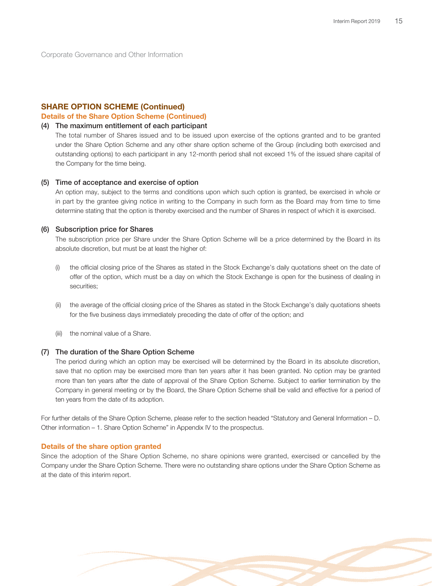### **SHARE OPTION SCHEME (Continued)**

### **Details of the Share Option Scheme (Continued)**

### **(4) The maximum entitlement of each participant**

The total number of Shares issued and to be issued upon exercise of the options granted and to be granted under the Share Option Scheme and any other share option scheme of the Group (including both exercised and outstanding options) to each participant in any 12-month period shall not exceed 1% of the issued share capital of the Company for the time being.

### **(5) Time of acceptance and exercise of option**

An option may, subject to the terms and conditions upon which such option is granted, be exercised in whole or in part by the grantee giving notice in writing to the Company in such form as the Board may from time to time determine stating that the option is thereby exercised and the number of Shares in respect of which it is exercised.

### **(6) Subscription price for Shares**

The subscription price per Share under the Share Option Scheme will be a price determined by the Board in its absolute discretion, but must be at least the higher of:

- (i) the official closing price of the Shares as stated in the Stock Exchange's daily quotations sheet on the date of offer of the option, which must be a day on which the Stock Exchange is open for the business of dealing in securities;
- (ii) the average of the official closing price of the Shares as stated in the Stock Exchange's daily quotations sheets for the five business days immediately preceding the date of offer of the option; and
- (iii) the nominal value of a Share.

### **(7) The duration of the Share Option Scheme**

The period during which an option may be exercised will be determined by the Board in its absolute discretion, save that no option may be exercised more than ten years after it has been granted. No option may be granted more than ten years after the date of approval of the Share Option Scheme. Subject to earlier termination by the Company in general meeting or by the Board, the Share Option Scheme shall be valid and effective for a period of ten years from the date of its adoption.

For further details of the Share Option Scheme, please refer to the section headed "Statutory and General Information – D. Other information – 1. Share Option Scheme" in Appendix IV to the prospectus.

### **Details of the share option granted**

Since the adoption of the Share Option Scheme, no share opinions were granted, exercised or cancelled by the Company under the Share Option Scheme. There were no outstanding share options under the Share Option Scheme as at the date of this interim report.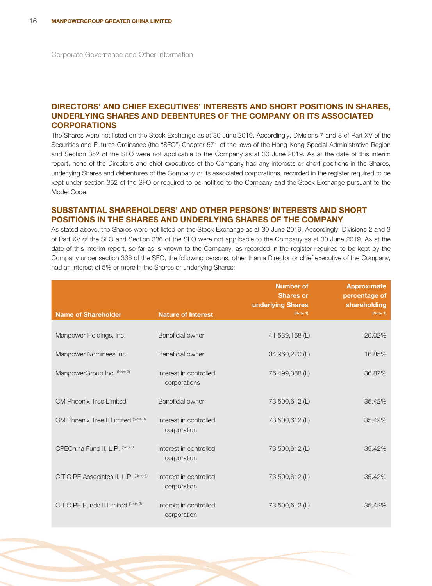# **DIRECTORS' AND CHIEF EXECUTIVES' INTERESTS AND SHORT POSITIONS IN SHARES, UNDERLYING SHARES AND DEBENTURES OF THE COMPANY OR ITS ASSOCIATED CORPORATIONS**

The Shares were not listed on the Stock Exchange as at 30 June 2019. Accordingly, Divisions 7 and 8 of Part XV of the Securities and Futures Ordinance (the "SFO") Chapter 571 of the laws of the Hong Kong Special Administrative Region and Section 352 of the SFO were not applicable to the Company as at 30 June 2019. As at the date of this interim report, none of the Directors and chief executives of the Company had any interests or short positions in the Shares, underlying Shares and debentures of the Company or its associated corporations, recorded in the register required to be kept under section 352 of the SFO or required to be notified to the Company and the Stock Exchange pursuant to the Model Code.

# **SUBSTANTIAL SHAREHOLDERS' AND OTHER PERSONS' INTERESTS AND SHORT POSITIONS IN THE SHARES AND UNDERLYING SHARES OF THE COMPANY**

As stated above, the Shares were not listed on the Stock Exchange as at 30 June 2019. Accordingly, Divisions 2 and 3 of Part XV of the SFO and Section 336 of the SFO were not applicable to the Company as at 30 June 2019. As at the date of this interim report, so far as is known to the Company, as recorded in the register required to be kept by the Company under section 336 of the SFO, the following persons, other than a Director or chief executive of the Company, had an interest of 5% or more in the Shares or underlying Shares:

|                                       |                                        | <b>Number of</b><br><b>Shares or</b><br>underlying Shares | <b>Approximate</b><br>percentage of<br>shareholding |
|---------------------------------------|----------------------------------------|-----------------------------------------------------------|-----------------------------------------------------|
| <b>Name of Shareholder</b>            | <b>Nature of Interest</b>              | (Note 1)                                                  | (Note 1)                                            |
| Manpower Holdings, Inc.               | Beneficial owner                       | 41,539,168 (L)                                            | 20.02%                                              |
| Manpower Nominees Inc.                | Beneficial owner                       | 34,960,220 (L)                                            | 16.85%                                              |
| ManpowerGroup Inc. (Note 2)           | Interest in controlled<br>corporations | 76,499,388 (L)                                            | 36.87%                                              |
| <b>CM Phoenix Tree Limited</b>        | Beneficial owner                       | 73,500,612 (L)                                            | 35.42%                                              |
| CM Phoenix Tree II Limited (Note 3)   | Interest in controlled<br>corporation  | 73,500,612 (L)                                            | 35.42%                                              |
| CPEChina Fund II, L.P. (Note 3)       | Interest in controlled<br>corporation  | 73,500,612 (L)                                            | 35.42%                                              |
| CITIC PE Associates II, L.P. (Note 3) | Interest in controlled<br>corporation  | 73,500,612 (L)                                            | 35.42%                                              |
| CITIC PE Funds II Limited (Note 3)    | Interest in controlled<br>corporation  | 73,500,612 (L)                                            | 35.42%                                              |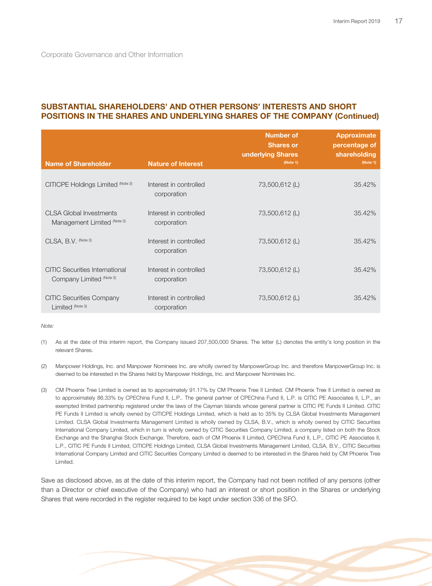# **SUBSTANTIAL SHAREHOLDERS' AND OTHER PERSONS' INTERESTS AND SHORT POSITIONS IN THE SHARES AND UNDERLYING SHARES OF THE COMPANY (Continued)**

|                                                                   |                                       | <b>Number of</b><br><b>Shares or</b><br>underlying Shares | <b>Approximate</b><br>percentage of<br>shareholding |
|-------------------------------------------------------------------|---------------------------------------|-----------------------------------------------------------|-----------------------------------------------------|
| <b>Name of Shareholder</b>                                        | <b>Nature of Interest</b>             | (Note 1)                                                  | (Note 1)                                            |
| CITICPE Holdings Limited (Note 3)                                 | Interest in controlled<br>corporation | 73,500,612 (L)                                            | 35.42%                                              |
| <b>CLSA Global Investments</b><br>Management Limited (Note 3)     | Interest in controlled<br>corporation | 73,500,612 (L)                                            | 35.42%                                              |
| CLSA, B.V. (Note 3)                                               | Interest in controlled<br>corporation | 73,500,612 (L)                                            | 35.42%                                              |
| <b>CITIC Securities International</b><br>Company Limited (Note 3) | Interest in controlled<br>corporation | 73,500,612 (L)                                            | 35.42%                                              |
| <b>CITIC Securities Company</b><br>Limited (Note 3)               | Interest in controlled<br>corporation | 73,500,612 (L)                                            | 35.42%                                              |

Note:

- (1) As at the date of this interim report, the Company issued 207,500,000 Shares. The letter (L) denotes the entity's long position in the relevant Shares.
- (2) Manpower Holdings, Inc. and Manpower Nominees Inc. are wholly owned by ManpowerGroup Inc. and therefore ManpowerGroup Inc. is deemed to be interested in the Shares held by Manpower Holdings, Inc. and Manpower Nominees Inc.
- (3) CM Phoenix Tree Limited is owned as to approximately 91.17% by CM Phoenix Tree II Limited. CM Phoenix Tree II Limited is owned as to approximately 86.33% by CPEChina Fund II, L.P.. The general partner of CPEChina Fund II, L.P. is CITIC PE Associates II, L.P., an exempted limited partnership registered under the laws of the Cayman Islands whose general partner is CITIC PE Funds II Limited. CITIC PE Funds II Limited is wholly owned by CITICPE Holdings Limited, which is held as to 35% by CLSA Global Investments Management Limited. CLSA Global Investments Management Limited is wholly owned by CLSA, B.V., which is wholly owned by CITIC Securities International Company Limited, which in turn is wholly owned by CITIC Securities Company Limited, a company listed on both the Stock Exchange and the Shanghai Stock Exchange. Therefore, each of CM Phoenix II Limited, CPEChina Fund II, L.P., CITIC PE Associates II, L.P., CITIC PE Funds II Limited, CITICPE Holdings Limited, CLSA Global Investments Management Limited, CLSA, B.V., CITIC Securities International Company Limited and CITIC Securities Company Limited is deemed to be interested in the Shares held by CM Phoenix Tree Limited.

Save as disclosed above, as at the date of this interim report, the Company had not been notified of any persons (other than a Director or chief executive of the Company) who had an interest or short position in the Shares or underlying Shares that were recorded in the register required to be kept under section 336 of the SFO.

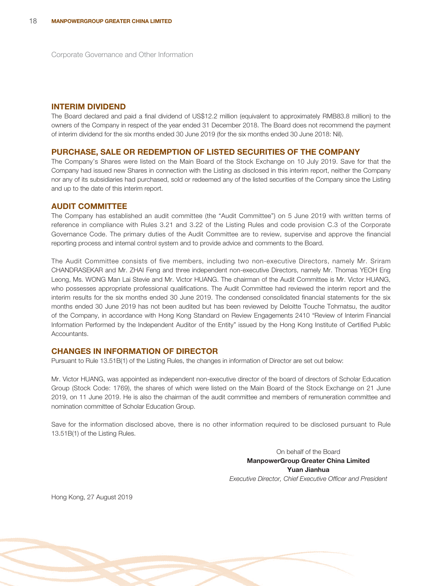### **INTERIM DIVIDEND**

The Board declared and paid a final dividend of US\$12.2 million (equivalent to approximately RMB83.8 million) to the owners of the Company in respect of the year ended 31 December 2018. The Board does not recommend the payment of interim dividend for the six months ended 30 June 2019 (for the six months ended 30 June 2018: Nil).

### **PURCHASE, SALE OR REDEMPTION OF LISTED SECURITIES OF THE COMPANY**

The Company's Shares were listed on the Main Board of the Stock Exchange on 10 July 2019. Save for that the Company had issued new Shares in connection with the Listing as disclosed in this interim report, neither the Company nor any of its subsidiaries had purchased, sold or redeemed any of the listed securities of the Company since the Listing and up to the date of this interim report.

### **AUDIT COMMITTEE**

The Company has established an audit committee (the "Audit Committee") on 5 June 2019 with written terms of reference in compliance with Rules 3.21 and 3.22 of the Listing Rules and code provision C.3 of the Corporate Governance Code. The primary duties of the Audit Committee are to review, supervise and approve the financial reporting process and internal control system and to provide advice and comments to the Board.

The Audit Committee consists of five members, including two non-executive Directors, namely Mr. Sriram CHANDRASEKAR and Mr. ZHAI Feng and three independent non-executive Directors, namely Mr. Thomas YEOH Eng Leong, Ms. WONG Man Lai Stevie and Mr. Victor HUANG. The chairman of the Audit Committee is Mr. Victor HUANG, who possesses appropriate professional qualifications. The Audit Committee had reviewed the interim report and the interim results for the six months ended 30 June 2019. The condensed consolidated financial statements for the six months ended 30 June 2019 has not been audited but has been reviewed by Deloitte Touche Tohmatsu, the auditor of the Company, in accordance with Hong Kong Standard on Review Engagements 2410 "Review of Interim Financial Information Performed by the Independent Auditor of the Entity" issued by the Hong Kong Institute of Certified Public **Accountants** 

# **CHANGES IN INFORMATION OF DIRECTOR**

Pursuant to Rule 13.51B(1) of the Listing Rules, the changes in information of Director are set out below:

Mr. Victor HUANG, was appointed as independent non-executive director of the board of directors of Scholar Education Group (Stock Code: 1769), the shares of which were listed on the Main Board of the Stock Exchange on 21 June 2019, on 11 June 2019. He is also the chairman of the audit committee and members of remuneration committee and nomination committee of Scholar Education Group.

Save for the information disclosed above, there is no other information required to be disclosed pursuant to Rule 13.51B(1) of the Listing Rules.

> On behalf of the Board **ManpowerGroup Greater China Limited Yuan Jianhua** Executive Director, Chief Executive Officer and President

Hong Kong, 27 August 2019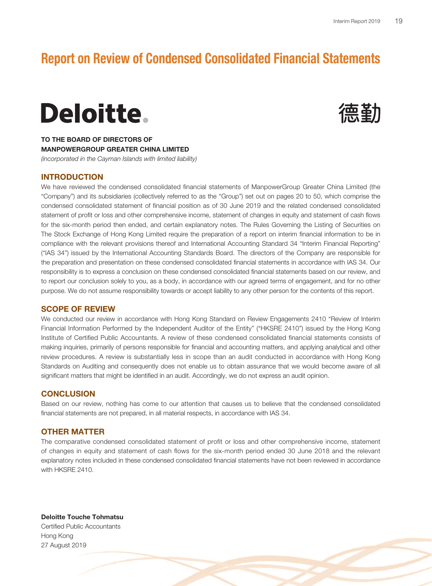# **Report on Review of Condensed Consolidated Financial Statements**

# Deloitte.



**TO THE BOARD OF DIRECTORS OF MANPOWERGROUP GREATER CHINA LIMITED**

(incorporated in the Cayman Islands with limited liability)

# **INTRODUCTION**

We have reviewed the condensed consolidated financial statements of ManpowerGroup Greater China Limited (the "Company") and its subsidiaries (collectively referred to as the "Group") set out on pages 20 to 50, which comprise the condensed consolidated statement of financial position as of 30 June 2019 and the related condensed consolidated statement of profit or loss and other comprehensive income, statement of changes in equity and statement of cash flows for the six-month period then ended, and certain explanatory notes. The Rules Governing the Listing of Securities on The Stock Exchange of Hong Kong Limited require the preparation of a report on interim financial information to be in compliance with the relevant provisions thereof and International Accounting Standard 34 "Interim Financial Reporting" ("IAS 34") issued by the International Accounting Standards Board. The directors of the Company are responsible for the preparation and presentation on these condensed consolidated financial statements in accordance with IAS 34. Our responsibility is to express a conclusion on these condensed consolidated financial statements based on our review, and to report our conclusion solely to you, as a body, in accordance with our agreed terms of engagement, and for no other purpose. We do not assume responsibility towards or accept liability to any other person for the contents of this report.

### **SCOPE OF REVIEW**

We conducted our review in accordance with Hong Kong Standard on Review Engagements 2410 "Review of Interim Financial Information Performed by the Independent Auditor of the Entity" ("HKSRE 2410") issued by the Hong Kong Institute of Certified Public Accountants. A review of these condensed consolidated financial statements consists of making inquiries, primarily of persons responsible for financial and accounting matters, and applying analytical and other review procedures. A review is substantially less in scope than an audit conducted in accordance with Hong Kong Standards on Auditing and consequently does not enable us to obtain assurance that we would become aware of all significant matters that might be identified in an audit. Accordingly, we do not express an audit opinion.

## **CONCLUSION**

Based on our review, nothing has come to our attention that causes us to believe that the condensed consolidated financial statements are not prepared, in all material respects, in accordance with IAS 34.

### **OTHER MATTER**

The comparative condensed consolidated statement of profit or loss and other comprehensive income, statement of changes in equity and statement of cash flows for the six-month period ended 30 June 2018 and the relevant explanatory notes included in these condensed consolidated financial statements have not been reviewed in accordance with HKSRE 2410.

**Deloitte Touche Tohmatsu** Certified Public Accountants Hong Kong 27 August 2019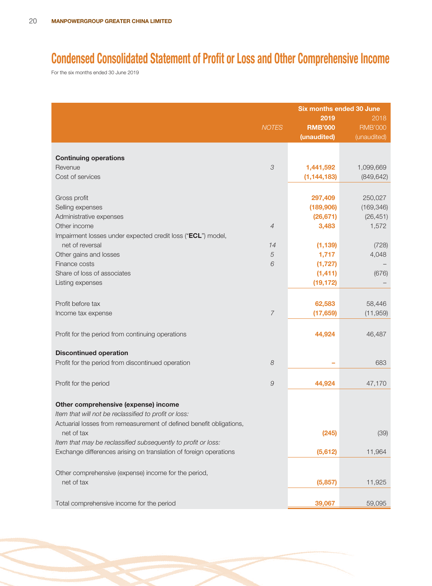# **Condensed Consolidated Statement of Profit or Loss and Other Comprehensive Income**

For the six months ended 30 June 2019

|                                                                     |                | <b>Six months ended 30 June</b> |                |  |
|---------------------------------------------------------------------|----------------|---------------------------------|----------------|--|
|                                                                     |                | 2019                            | 2018           |  |
|                                                                     | <b>NOTES</b>   | <b>RMB'000</b>                  | <b>RMB'000</b> |  |
|                                                                     |                | (unaudited)                     | (unaudited)    |  |
|                                                                     |                |                                 |                |  |
| <b>Continuing operations</b>                                        |                |                                 |                |  |
| Revenue                                                             | 3              | 1,441,592                       | 1,099,669      |  |
| Cost of services                                                    |                | (1, 144, 183)                   | (849, 642)     |  |
|                                                                     |                |                                 |                |  |
| Gross profit                                                        |                | 297,409                         | 250,027        |  |
| Selling expenses                                                    |                | (189, 906)                      | (169, 346)     |  |
| Administrative expenses                                             |                | (26, 671)                       | (26, 451)      |  |
| Other income                                                        | $\overline{4}$ | 3,483                           | 1,572          |  |
| Impairment losses under expected credit loss ("ECL") model,         |                |                                 |                |  |
| net of reversal                                                     | 14             | (1, 139)                        | (728)          |  |
| Other gains and losses                                              | $\sqrt{5}$     | 1,717                           | 4,048          |  |
| Finance costs                                                       | 6              | (1, 727)                        |                |  |
| Share of loss of associates                                         |                | (1, 411)                        | (676)          |  |
| Listing expenses                                                    |                | (19, 172)                       |                |  |
|                                                                     |                |                                 |                |  |
| Profit before tax                                                   |                | 62,583                          | 58,446         |  |
| Income tax expense                                                  | $\overline{7}$ | (17, 659)                       | (11, 959)      |  |
|                                                                     |                |                                 |                |  |
| Profit for the period from continuing operations                    |                | 44,924                          | 46,487         |  |
|                                                                     |                |                                 |                |  |
| <b>Discontinued operation</b>                                       |                |                                 |                |  |
| Profit for the period from discontinued operation                   | 8              |                                 | 683            |  |
|                                                                     |                |                                 |                |  |
| Profit for the period                                               | 9              | 44,924                          | 47,170         |  |
|                                                                     |                |                                 |                |  |
|                                                                     |                |                                 |                |  |
| Other comprehensive (expense) income                                |                |                                 |                |  |
| Item that will not be reclassified to profit or loss:               |                |                                 |                |  |
| Actuarial losses from remeasurement of defined benefit obligations, |                |                                 |                |  |
| net of tax                                                          |                | (245)                           | (39)           |  |
| Item that may be reclassified subsequently to profit or loss:       |                |                                 |                |  |
| Exchange differences arising on translation of foreign operations   |                | (5,612)                         | 11,964         |  |
|                                                                     |                |                                 |                |  |
| Other comprehensive (expense) income for the period,                |                |                                 |                |  |
| net of tax                                                          |                | (5,857)                         | 11,925         |  |
|                                                                     |                |                                 |                |  |
| Total comprehensive income for the period                           |                | 39,067                          | 59,095         |  |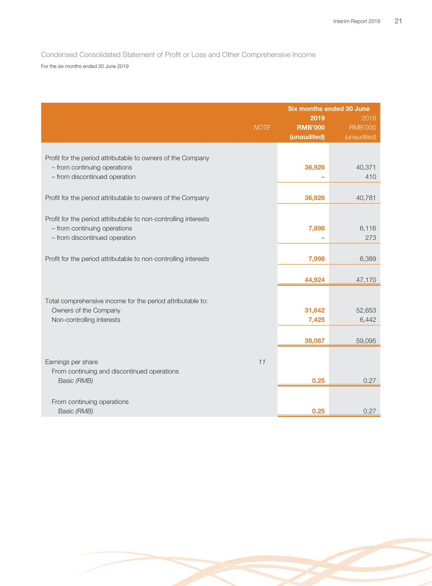Condensed Consolidated Statement of Profit or Loss and Other Comprehensive Income For the six months ended 30 June 2019

|                                                                                             |             | <b>Six months ended 30 June</b> |                        |
|---------------------------------------------------------------------------------------------|-------------|---------------------------------|------------------------|
|                                                                                             | <b>NOTE</b> | 2019<br><b>RMB'000</b>          | 2018<br><b>RMB'000</b> |
|                                                                                             |             | (unaudited)                     | (unaudited)            |
|                                                                                             |             |                                 |                        |
| Profit for the period attributable to owners of the Company<br>- from continuing operations |             | 36,926                          | 40,371                 |
| - from discontinued operation                                                               |             |                                 | 410                    |
|                                                                                             |             |                                 |                        |
| Profit for the period attributable to owners of the Company                                 |             | 36,926                          | 40,781                 |
| Profit for the period attributable to non-controlling interests                             |             |                                 |                        |
| - from continuing operations                                                                |             | 7,998                           | 6,116                  |
| - from discontinued operation                                                               |             |                                 | 273                    |
| Profit for the period attributable to non-controlling interests                             |             | 7,998                           | 6,389                  |
|                                                                                             |             | 44,924                          | 47,170                 |
|                                                                                             |             |                                 |                        |
| Total comprehensive income for the period attributable to:                                  |             |                                 |                        |
| Owners of the Company<br>Non-controlling interests                                          |             | 31,642<br>7,425                 | 52,653<br>6,442        |
|                                                                                             |             |                                 |                        |
|                                                                                             |             | 39,067                          | 59,095                 |
| Earnings per share                                                                          | 11          |                                 |                        |
| From continuing and discontinued operations                                                 |             |                                 |                        |
| Basic (RMB)                                                                                 |             | 0.25                            | 0.27                   |
| From continuing operations                                                                  |             |                                 |                        |
| Basic (RMB)                                                                                 |             | 0.25                            | 0.27                   |

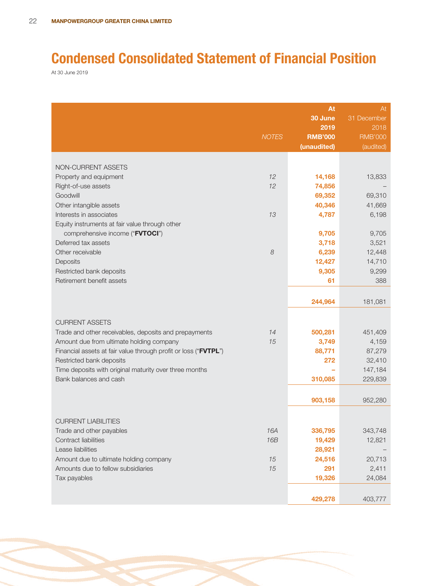# **Condensed Consolidated Statement of Financial Position**

At 30 June 2019

|                                                                                             | <b>NOTES</b> | At<br>30 June<br>2019<br><b>RMB'000</b><br>(unaudited) | At<br>31 December<br>2018<br><b>RMB'000</b><br>(audited) |
|---------------------------------------------------------------------------------------------|--------------|--------------------------------------------------------|----------------------------------------------------------|
|                                                                                             |              |                                                        |                                                          |
| NON-CURRENT ASSETS                                                                          |              |                                                        |                                                          |
| Property and equipment                                                                      | 12           | 14,168                                                 | 13,833                                                   |
| Right-of-use assets                                                                         | 12           | 74,856                                                 |                                                          |
| Goodwill<br>Other intangible assets                                                         |              | 69,352<br>40,346                                       | 69,310<br>41,669                                         |
| Interests in associates                                                                     | 13           | 4,787                                                  | 6,198                                                    |
| Equity instruments at fair value through other                                              |              |                                                        |                                                          |
| comprehensive income ("FVTOCI")                                                             |              | 9,705                                                  | 9,705                                                    |
| Deferred tax assets                                                                         |              | 3,718                                                  | 3,521                                                    |
| Other receivable                                                                            | 8            | 6,239                                                  | 12,448                                                   |
| Deposits                                                                                    |              | 12,427                                                 | 14,710                                                   |
| Restricted bank deposits                                                                    |              | 9,305                                                  | 9,299                                                    |
| Retirement benefit assets                                                                   |              | 61                                                     | 388                                                      |
|                                                                                             |              |                                                        |                                                          |
|                                                                                             |              | 244,964                                                | 181,081                                                  |
| <b>CURRENT ASSETS</b>                                                                       |              |                                                        |                                                          |
| Trade and other receivables, deposits and prepayments                                       | 14           | 500,281                                                | 451,409                                                  |
| Amount due from ultimate holding company                                                    | 15           | 3,749                                                  | 4,159                                                    |
| Financial assets at fair value through profit or loss ("FVTPL")<br>Restricted bank deposits |              | 88,771<br>272                                          | 87,279<br>32,410                                         |
| Time deposits with original maturity over three months                                      |              |                                                        | 147,184                                                  |
| Bank balances and cash                                                                      |              | 310,085                                                | 229,839                                                  |
|                                                                                             |              |                                                        |                                                          |
|                                                                                             |              | 903,158                                                | 952,280                                                  |
| <b>CURRENT LIABILITIES</b>                                                                  |              |                                                        |                                                          |
| Trade and other payables                                                                    | 16A          | 336,795                                                | 343,748                                                  |
| Contract liabilities                                                                        | <b>16B</b>   | 19,429                                                 | 12,821                                                   |
| Lease liabilities                                                                           |              | 28,921                                                 |                                                          |
| Amount due to ultimate holding company                                                      | 15           | 24,516                                                 | 20,713                                                   |
| Amounts due to fellow subsidiaries                                                          | 15           | 291                                                    | 2,411                                                    |
| Tax payables                                                                                |              | 19,326                                                 | 24,084                                                   |
|                                                                                             |              | 429,278                                                | 403,777                                                  |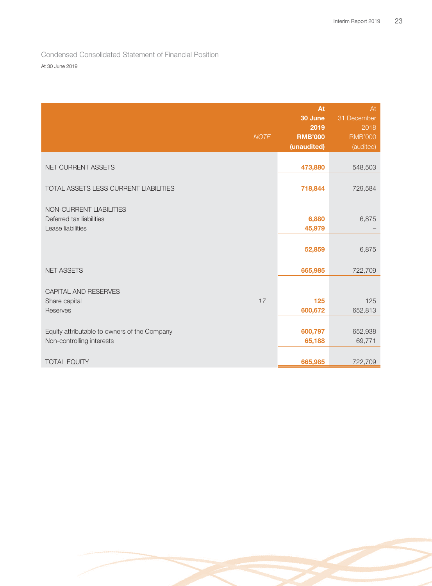Condensed Consolidated Statement of Financial Position At 30 June 2019

|                                                                           | <b>NOTE</b> | At<br>30 June<br>2019<br><b>RMB'000</b><br>(unaudited) | At<br>31 December<br>2018<br><b>RMB'000</b><br>(audited) |
|---------------------------------------------------------------------------|-------------|--------------------------------------------------------|----------------------------------------------------------|
| NET CURRENT ASSETS                                                        |             | 473,880                                                | 548,503                                                  |
| TOTAL ASSETS LESS CURRENT LIABILITIES                                     |             | 718,844                                                | 729,584                                                  |
| NON-CURRENT LIABILITIES<br>Deferred tax liabilities<br>Lease liabilities  |             | 6,880<br>45,979<br>52,859                              | 6,875<br>6,875                                           |
| <b>NET ASSETS</b>                                                         |             | 665,985                                                | 722,709                                                  |
| <b>CAPITAL AND RESERVES</b><br>Share capital<br>Reserves                  | 17          | 125<br>600,672                                         | 125<br>652,813                                           |
| Equity attributable to owners of the Company<br>Non-controlling interests |             | 600,797<br>65,188                                      | 652,938<br>69,771                                        |
| <b>TOTAL EQUITY</b>                                                       |             | 665,985                                                | 722,709                                                  |

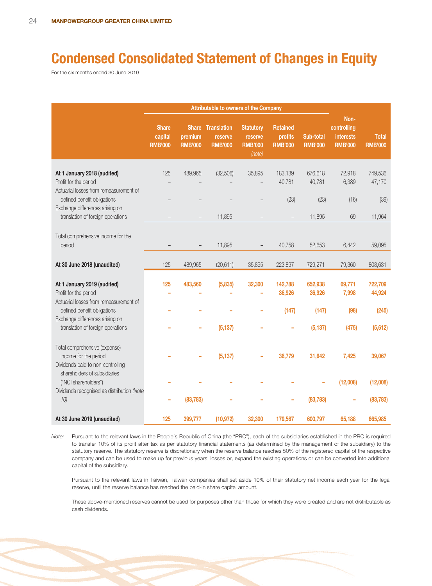# **Condensed Consolidated Statement of Changes in Equity**

For the six months ended 30 June 2019

|                                                                                                           | Attributable to owners of the Company     |                           |                                                       |                                                         |                                              |                             |                                                           |                                |
|-----------------------------------------------------------------------------------------------------------|-------------------------------------------|---------------------------|-------------------------------------------------------|---------------------------------------------------------|----------------------------------------------|-----------------------------|-----------------------------------------------------------|--------------------------------|
|                                                                                                           | <b>Share</b><br>capital<br><b>RMB'000</b> | premium<br><b>RMB'000</b> | <b>Share Translation</b><br>reserve<br><b>RMB'000</b> | <b>Statutory</b><br>reserve<br><b>RMB'000</b><br>(note) | <b>Retained</b><br>profits<br><b>RMB'000</b> | Sub-total<br><b>RMB'000</b> | Non-<br>controlling<br><b>interests</b><br><b>RMB'000</b> | <b>Total</b><br><b>RMB'000</b> |
| At 1 January 2018 (audited)<br>Profit for the period<br>Actuarial losses from remeasurement of            | 125                                       | 489,965                   | (32, 506)                                             | 35,895                                                  | 183,139<br>40,781                            | 676,618<br>40,781           | 72,918<br>6,389                                           | 749,536<br>47,170              |
| defined benefit obligations<br>Exchange differences arising on<br>translation of foreign operations       |                                           |                           | 11,895                                                |                                                         | (23)                                         | (23)<br>11,895              | (16)<br>69                                                | (39)<br>11,964                 |
| Total comprehensive income for the<br>period                                                              |                                           |                           | 11,895                                                |                                                         | 40,758                                       | 52,653                      | 6,442                                                     | 59,095                         |
| At 30 June 2018 (unaudited)                                                                               | 125                                       | 489,965                   | (20, 611)                                             | 35,895                                                  | 223,897                                      | 729,271                     | 79,360                                                    | 808,631                        |
| At 1 January 2019 (audited)<br>Profit for the period<br>Actuarial losses from remeasurement of            | 125                                       | 483,560                   | (5,835)                                               | 32,300                                                  | 142,788<br>36,926                            | 652,938<br>36,926           | 69,771<br>7,998                                           | 722,709<br>44,924              |
| defined benefit obligations<br>Exchange differences arising on<br>translation of foreign operations       |                                           |                           | (5, 137)                                              |                                                         | (147)                                        | (147)<br>(5, 137)           | (98)<br>(475)                                             | (245)<br>(5,612)               |
| Total comprehensive (expense)<br>income for the period<br>Dividends paid to non-controlling               |                                           |                           | (5, 137)                                              |                                                         | 36,779                                       | 31,642                      | 7,425                                                     | 39,067                         |
| shareholders of subsidiaries<br>("NCI shareholders")<br>Dividends recognised as distribution (Note<br>10) |                                           | (83, 783)                 |                                                       |                                                         |                                              | (83, 783)                   | (12,008)                                                  | (12,008)<br>(83, 783)          |
| At 30 June 2019 (unaudited)                                                                               | 125                                       | 399,777                   | (10, 972)                                             | 32,300                                                  | 179,567                                      | 600,797                     | 65,188                                                    | 665,985                        |

Note: Pursuant to the relevant laws in the People's Republic of China (the "PRC"), each of the subsidiaries established in the PRC is required to transfer 10% of its profit after tax as per statutory financial statements (as determined by the management of the subsidiary) to the statutory reserve. The statutory reserve is discretionary when the reserve balance reaches 50% of the registered capital of the respective company and can be used to make up for previous years' losses or, expand the existing operations or can be converted into additional capital of the subsidiary.

Pursuant to the relevant laws in Taiwan, Taiwan companies shall set aside 10% of their statutory net income each year for the legal reserve, until the reserve balance has reached the paid-in share capital amount.

These above-mentioned reserves cannot be used for purposes other than those for which they were created and are not distributable as cash dividends.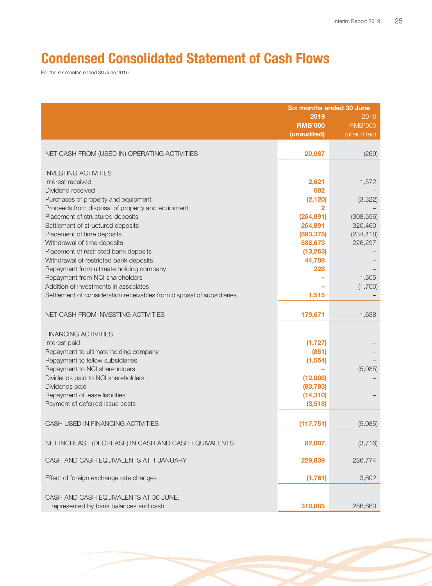# **Condensed Consolidated Statement of Cash Flows**

For the six months ended 30 June 2019

|                                                                                | <b>Six months ended 30 June</b><br>2019<br><b>RMB'000</b><br>(unaudited) | 2018<br><b>RMB'000</b><br>(unaudited) |
|--------------------------------------------------------------------------------|--------------------------------------------------------------------------|---------------------------------------|
|                                                                                |                                                                          |                                       |
| NET CASH FROM (USED IN) OPERATING ACTIVITIES                                   | 20,087                                                                   | (269)                                 |
| <b>INVESTING ACTIVITIES</b>                                                    |                                                                          |                                       |
| Interest received                                                              | 2,621                                                                    | 1,572                                 |
| Dividend received                                                              | 682                                                                      |                                       |
| Purchases of property and equipment                                            | (2, 120)                                                                 | (3,322)                               |
| Proceeds from disposal of property and equipment                               | 2                                                                        |                                       |
| Placement of structured deposits                                               | (264, 891)                                                               | (308, 556)                            |
| Settlement of structured deposits                                              | 264,891                                                                  | 320,460                               |
| Placement of time deposits                                                     | (693, 375)                                                               | (234, 418)                            |
| Withdrawal of time deposits                                                    | 838,673                                                                  | 226,297                               |
| Placement of restricted bank deposits                                          | (13, 263)                                                                |                                       |
| Withdrawal of restricted bank deposits                                         | 44,708                                                                   |                                       |
| Repayment from ultimate holding company                                        | 228                                                                      |                                       |
| Repayment from NCI shareholders                                                |                                                                          | 1,305                                 |
| Addition of investments in associates                                          |                                                                          | (1,700)                               |
| Settlement of consideration receivables from disposal of subsidiaries          | 1,515                                                                    |                                       |
| NET CASH FROM INVESTING ACTIVITIES                                             | 179,671                                                                  | 1,638                                 |
| <b>FINANCING ACTIVITIES</b>                                                    |                                                                          |                                       |
| Interest paid                                                                  | (1, 727)                                                                 |                                       |
| Repayment to ultimate holding company                                          | (851)                                                                    |                                       |
| Repayment to fellow subsidiaries                                               | (1, 554)                                                                 |                                       |
| Repayment to NCI shareholders                                                  |                                                                          | (5,085)                               |
| Dividends paid to NCI shareholders                                             | (12,008)                                                                 |                                       |
| Dividends paid                                                                 | (83, 783)                                                                |                                       |
| Repayment of lease liabilities                                                 | (14, 310)                                                                |                                       |
| Payment of deferred issue costs                                                | (3, 518)                                                                 |                                       |
|                                                                                |                                                                          |                                       |
| CASH USED IN FINANCING ACTIVITIES                                              | (117, 751)                                                               | (5,085)                               |
| NET INCREASE (DECREASE) IN CASH AND CASH EQUIVALENTS                           | 82,007                                                                   | (3,716)                               |
| CASH AND CASH EQUIVALENTS AT 1 JANUARY                                         | 229,839                                                                  | 286,774                               |
| Effect of foreign exchange rate changes                                        | (1,761)                                                                  | 3,602                                 |
| CASH AND CASH EQUIVALENTS AT 30 JUNE,<br>represented by bank balances and cash | 310,085                                                                  | 286,660                               |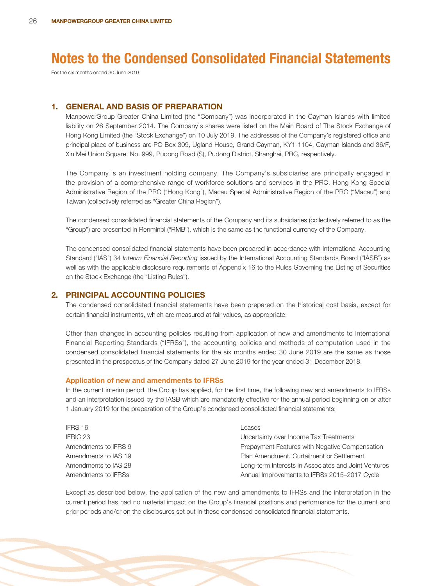For the six months ended 30 June 2019

# **1. GENERAL AND BASIS OF PREPARATION**

ManpowerGroup Greater China Limited (the "Company") was incorporated in the Cayman Islands with limited liability on 26 September 2014. The Company's shares were listed on the Main Board of The Stock Exchange of Hong Kong Limited (the "Stock Exchange") on 10 July 2019. The addresses of the Company's registered office and principal place of business are PO Box 309, Ugland House, Grand Cayman, KY1-1104, Cayman Islands and 36/F, Xin Mei Union Square, No. 999, Pudong Road (S), Pudong District, Shanghai, PRC, respectively.

The Company is an investment holding company. The Company's subsidiaries are principally engaged in the provision of a comprehensive range of workforce solutions and services in the PRC, Hong Kong Special Administrative Region of the PRC ("Hong Kong"), Macau Special Administrative Region of the PRC ("Macau") and Taiwan (collectively referred as "Greater China Region").

The condensed consolidated financial statements of the Company and its subsidiaries (collectively referred to as the "Group") are presented in Renminbi ("RMB"), which is the same as the functional currency of the Company.

The condensed consolidated financial statements have been prepared in accordance with International Accounting Standard ("IAS") 34 Interim Financial Reporting issued by the International Accounting Standards Board ("IASB") as well as with the applicable disclosure requirements of Appendix 16 to the Rules Governing the Listing of Securities on the Stock Exchange (the "Listing Rules").

### **2. PRINCIPAL ACCOUNTING POLICIES**

The condensed consolidated financial statements have been prepared on the historical cost basis, except for certain financial instruments, which are measured at fair values, as appropriate.

Other than changes in accounting policies resulting from application of new and amendments to International Financial Reporting Standards ("IFRSs"), the accounting policies and methods of computation used in the condensed consolidated financial statements for the six months ended 30 June 2019 are the same as those presented in the prospectus of the Company dated 27 June 2019 for the year ended 31 December 2018.

#### **Application of new and amendments to IFRSs**

In the current interim period, the Group has applied, for the first time, the following new and amendments to IFRSs and an interpretation issued by the IASB which are mandatorily effective for the annual period beginning on or after 1 January 2019 for the preparation of the Group's condensed consolidated financial statements:

| IFRS 16              | Leases                                               |
|----------------------|------------------------------------------------------|
| IFRIC 23             | Uncertainty over Income Tax Treatments               |
| Amendments to IFRS 9 | Prepayment Features with Negative Compensation       |
| Amendments to IAS 19 | Plan Amendment, Curtailment or Settlement            |
| Amendments to IAS 28 | Long-term Interests in Associates and Joint Ventures |
| Amendments to IFRSs  | Annual Improvements to IFRSs 2015-2017 Cycle         |

Except as described below, the application of the new and amendments to IFRSs and the interpretation in the current period has had no material impact on the Group's financial positions and performance for the current and prior periods and/or on the disclosures set out in these condensed consolidated financial statements.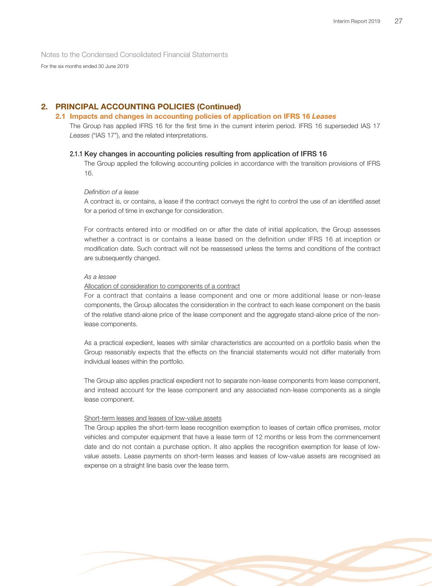For the six months ended 30 June 2019

# **2. PRINCIPAL ACCOUNTING POLICIES (Continued)**

### **2.1 Impacts and changes in accounting policies of application on IFRS 16** *Leases*

The Group has applied IFRS 16 for the first time in the current interim period. IFRS 16 superseded IAS 17 Leases ("IAS 17"), and the related interpretations.

### **2.1.1 Key changes in accounting policies resulting from application of IFRS 16**

The Group applied the following accounting policies in accordance with the transition provisions of IFRS 16.

### Definition of a lease

A contract is, or contains, a lease if the contract conveys the right to control the use of an identified asset for a period of time in exchange for consideration.

For contracts entered into or modified on or after the date of initial application, the Group assesses whether a contract is or contains a lease based on the definition under IFRS 16 at inception or modification date. Such contract will not be reassessed unless the terms and conditions of the contract are subsequently changed.

### As a lessee

### Allocation of consideration to components of a contract

For a contract that contains a lease component and one or more additional lease or non-lease components, the Group allocates the consideration in the contract to each lease component on the basis of the relative stand-alone price of the lease component and the aggregate stand-alone price of the nonlease components.

As a practical expedient, leases with similar characteristics are accounted on a portfolio basis when the Group reasonably expects that the effects on the financial statements would not differ materially from individual leases within the portfolio.

The Group also applies practical expedient not to separate non-lease components from lease component, and instead account for the lease component and any associated non-lease components as a single lease component.

#### Short-term leases and leases of low-value assets

The Group applies the short-term lease recognition exemption to leases of certain office premises, motor vehicles and computer equipment that have a lease term of 12 months or less from the commencement date and do not contain a purchase option. It also applies the recognition exemption for lease of lowvalue assets. Lease payments on short-term leases and leases of low-value assets are recognised as expense on a straight line basis over the lease term.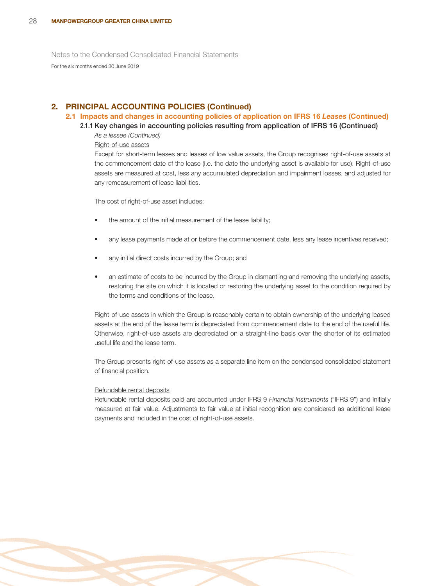For the six months ended 30 June 2019

# **2. PRINCIPAL ACCOUNTING POLICIES (Continued)**

### **2.1 Impacts and changes in accounting policies of application on IFRS 16** *Leases* **(Continued)**

**2.1.1 Key changes in accounting policies resulting from application of IFRS 16 (Continued)**

As a lessee (Continued)

### Right-of-use assets

Except for short-term leases and leases of low value assets, the Group recognises right-of-use assets at the commencement date of the lease (i.e. the date the underlying asset is available for use). Right-of-use assets are measured at cost, less any accumulated depreciation and impairment losses, and adjusted for any remeasurement of lease liabilities.

The cost of right-of-use asset includes:

- the amount of the initial measurement of the lease liability;
- any lease payments made at or before the commencement date, less any lease incentives received;
- any initial direct costs incurred by the Group; and
- an estimate of costs to be incurred by the Group in dismantling and removing the underlying assets, restoring the site on which it is located or restoring the underlying asset to the condition required by the terms and conditions of the lease.

Right-of-use assets in which the Group is reasonably certain to obtain ownership of the underlying leased assets at the end of the lease term is depreciated from commencement date to the end of the useful life. Otherwise, right-of-use assets are depreciated on a straight-line basis over the shorter of its estimated useful life and the lease term.

The Group presents right-of-use assets as a separate line item on the condensed consolidated statement of financial position.

### Refundable rental deposits

Refundable rental deposits paid are accounted under IFRS 9 Financial Instruments ("IFRS 9") and initially measured at fair value. Adjustments to fair value at initial recognition are considered as additional lease payments and included in the cost of right-of-use assets.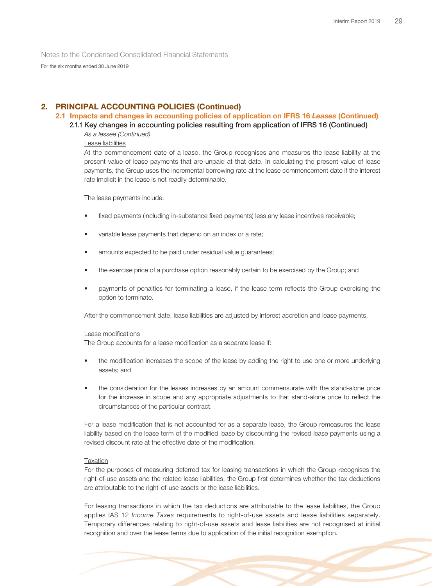For the six months ended 30 June 2019

# **2. PRINCIPAL ACCOUNTING POLICIES (Continued)**

### **2.1 Impacts and changes in accounting policies of application on IFRS 16** *Leases* **(Continued)**

### **2.1.1 Key changes in accounting policies resulting from application of IFRS 16 (Continued)**

As a lessee (Continued)

Lease liabilities

At the commencement date of a lease, the Group recognises and measures the lease liability at the present value of lease payments that are unpaid at that date. In calculating the present value of lease payments, the Group uses the incremental borrowing rate at the lease commencement date if the interest rate implicit in the lease is not readily determinable.

The lease payments include:

- fixed payments (including in-substance fixed payments) less any lease incentives receivable;
- variable lease payments that depend on an index or a rate;
- amounts expected to be paid under residual value quarantees;
- the exercise price of a purchase option reasonably certain to be exercised by the Group; and
- payments of penalties for terminating a lease, if the lease term reflects the Group exercising the option to terminate.

After the commencement date, lease liabilities are adjusted by interest accretion and lease payments.

#### Lease modifications

The Group accounts for a lease modification as a separate lease if:

- the modification increases the scope of the lease by adding the right to use one or more underlying assets; and
- the consideration for the leases increases by an amount commensurate with the stand-alone price for the increase in scope and any appropriate adjustments to that stand-alone price to reflect the circumstances of the particular contract.

For a lease modification that is not accounted for as a separate lease, the Group remeasures the lease liability based on the lease term of the modified lease by discounting the revised lease payments using a revised discount rate at the effective date of the modification.

### Taxation

For the purposes of measuring deferred tax for leasing transactions in which the Group recognises the right-of-use assets and the related lease liabilities, the Group first determines whether the tax deductions are attributable to the right-of-use assets or the lease liabilities.

For leasing transactions in which the tax deductions are attributable to the lease liabilities, the Group applies IAS 12 Income Taxes requirements to right-of-use assets and lease liabilities separately. Temporary differences relating to right-of-use assets and lease liabilities are not recognised at initial recognition and over the lease terms due to application of the initial recognition exemption.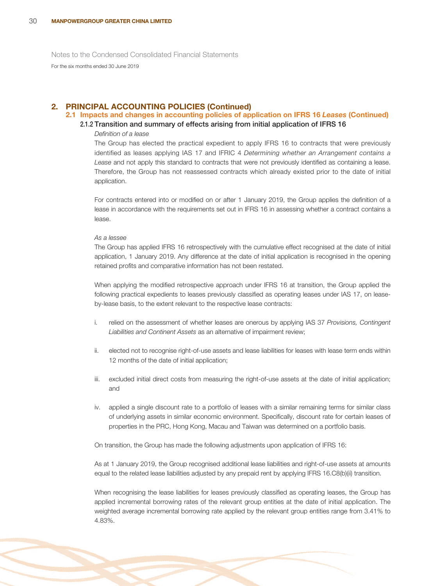For the six months ended 30 June 2019

### **2. PRINCIPAL ACCOUNTING POLICIES (Continued)**

# **2.1 Impacts and changes in accounting policies of application on IFRS 16** *Leases* **(Continued)**

### **2.1.2 Transition and summary of effects arising from initial application of IFRS 16**

### Definition of a lease

The Group has elected the practical expedient to apply IFRS 16 to contracts that were previously identified as leases applying IAS 17 and IFRIC 4 Determining whether an Arrangement contains a Lease and not apply this standard to contracts that were not previously identified as containing a lease. Therefore, the Group has not reassessed contracts which already existed prior to the date of initial application.

For contracts entered into or modified on or after 1 January 2019, the Group applies the definition of a lease in accordance with the requirements set out in IFRS 16 in assessing whether a contract contains a lease.

### $A_2$  a lecce

The Group has applied IFRS 16 retrospectively with the cumulative effect recognised at the date of initial application, 1 January 2019. Any difference at the date of initial application is recognised in the opening retained profits and comparative information has not been restated.

When applying the modified retrospective approach under IFRS 16 at transition, the Group applied the following practical expedients to leases previously classified as operating leases under IAS 17, on leaseby-lease basis, to the extent relevant to the respective lease contracts:

- i. relied on the assessment of whether leases are onerous by applying IAS 37 Provisions, Contingent Liabilities and Continent Assets as an alternative of impairment review;
- ii. elected not to recognise right-of-use assets and lease liabilities for leases with lease term ends within 12 months of the date of initial application;
- iii. excluded initial direct costs from measuring the right-of-use assets at the date of initial application; and
- iv. applied a single discount rate to a portfolio of leases with a similar remaining terms for similar class of underlying assets in similar economic environment. Specifically, discount rate for certain leases of properties in the PRC, Hong Kong, Macau and Taiwan was determined on a portfolio basis.

On transition, the Group has made the following adjustments upon application of IFRS 16:

As at 1 January 2019, the Group recognised additional lease liabilities and right-of-use assets at amounts equal to the related lease liabilities adjusted by any prepaid rent by applying IFRS 16.C8(b)(ii) transition.

When recognising the lease liabilities for leases previously classified as operating leases, the Group has applied incremental borrowing rates of the relevant group entities at the date of initial application. The weighted average incremental borrowing rate applied by the relevant group entities range from 3.41% to 4.83%.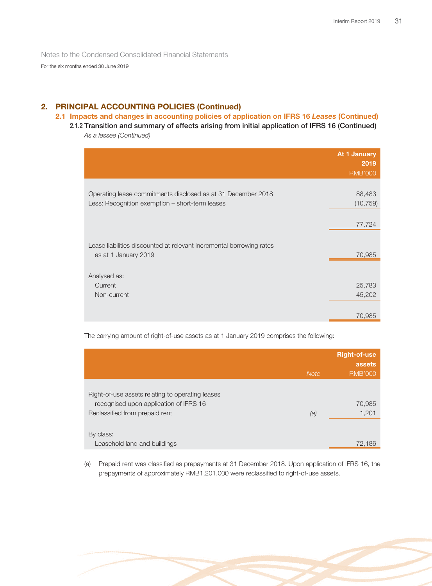For the six months ended 30 June 2019

# **2. PRINCIPAL ACCOUNTING POLICIES (Continued)**

### **2.1 Impacts and changes in accounting policies of application on IFRS 16** *Leases* **(Continued)**

**2.1.2 Transition and summary of effects arising from initial application of IFRS 16 (Continued)** As a lessee (Continued)

|                                                                      | At 1 January<br>2019<br><b>RMB'000</b> |
|----------------------------------------------------------------------|----------------------------------------|
|                                                                      |                                        |
| Operating lease commitments disclosed as at 31 December 2018         | 88,483                                 |
| Less: Recognition exemption - short-term leases                      | (10, 759)                              |
|                                                                      |                                        |
|                                                                      | 77,724                                 |
|                                                                      |                                        |
| Lease liabilities discounted at relevant incremental borrowing rates |                                        |
| as at 1 January 2019                                                 | 70,985                                 |
|                                                                      |                                        |
| Analysed as:                                                         |                                        |
| Current                                                              | 25,783                                 |
| Non-current                                                          | 45,202                                 |
|                                                                      |                                        |
|                                                                      | 70,985                                 |

The carrying amount of right-of-use assets as at 1 January 2019 comprises the following:

|                                                  |             | <b>Right-of-use</b><br>assets |
|--------------------------------------------------|-------------|-------------------------------|
|                                                  | <b>Note</b> | <b>RMB'000</b>                |
|                                                  |             |                               |
| Right-of-use assets relating to operating leases |             |                               |
| recognised upon application of IFRS 16           |             | 70,985                        |
| Reclassified from prepaid rent                   | (a)         | 1,201                         |
|                                                  |             |                               |
| By class:                                        |             |                               |
| Leasehold land and buildings                     |             | 72,186                        |

(a) Prepaid rent was classified as prepayments at 31 December 2018. Upon application of IFRS 16, the prepayments of approximately RMB1,201,000 were reclassified to right-of-use assets.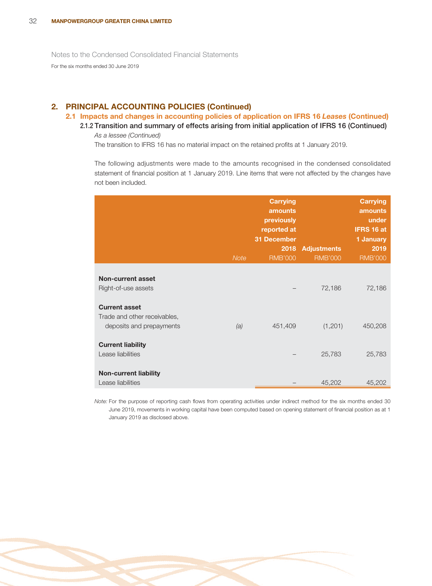# **2. PRINCIPAL ACCOUNTING POLICIES (Continued)**

### **2.1 Impacts and changes in accounting policies of application on IFRS 16** *Leases* **(Continued)**

**2.1.2 Transition and summary of effects arising from initial application of IFRS 16 (Continued)** As a lessee (Continued)

The transition to IFRS 16 has no material impact on the retained profits at 1 January 2019.

The following adjustments were made to the amounts recognised in the condensed consolidated statement of financial position at 1 January 2019. Line items that were not affected by the changes have not been included.

|                                                                                  | <b>Note</b> | <b>Carrying</b><br>amounts<br>previously<br>reported at<br><b>31 December</b><br>2018<br><b>RMB'000</b> | <b>Adjustments</b><br><b>RMB'000</b> | <b>Carrying</b><br>amounts<br>under<br>IFRS 16 at<br>1 January<br>2019<br><b>RMB'000</b> |
|----------------------------------------------------------------------------------|-------------|---------------------------------------------------------------------------------------------------------|--------------------------------------|------------------------------------------------------------------------------------------|
| Non-current asset<br>Right-of-use assets                                         |             |                                                                                                         | 72,186                               | 72,186                                                                                   |
| <b>Current asset</b><br>Trade and other receivables,<br>deposits and prepayments | (a)         | 451,409                                                                                                 | (1,201)                              | 450,208                                                                                  |
| <b>Current liability</b><br>Lease liabilities                                    |             |                                                                                                         | 25,783                               | 25,783                                                                                   |
| <b>Non-current liability</b><br>Lease liabilities                                |             |                                                                                                         | 45,202                               | 45,202                                                                                   |

Note: For the purpose of reporting cash flows from operating activities under indirect method for the six months ended 30 June 2019, movements in working capital have been computed based on opening statement of financial position as at 1 January 2019 as disclosed above.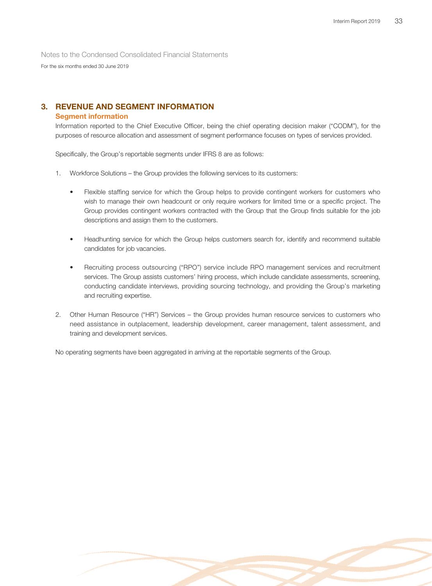For the six months ended 30 June 2019

# **3. REVENUE AND SEGMENT INFORMATION**

### **Segment information**

Information reported to the Chief Executive Officer, being the chief operating decision maker ("CODM"), for the purposes of resource allocation and assessment of segment performance focuses on types of services provided.

Specifically, the Group's reportable segments under IFRS 8 are as follows:

- 1. Workforce Solutions the Group provides the following services to its customers:
	- Flexible staffing service for which the Group helps to provide contingent workers for customers who wish to manage their own headcount or only require workers for limited time or a specific project. The Group provides contingent workers contracted with the Group that the Group finds suitable for the job descriptions and assign them to the customers.
	- Headhunting service for which the Group helps customers search for, identify and recommend suitable candidates for job vacancies.
	- Recruiting process outsourcing ("RPO") service include RPO management services and recruitment services. The Group assists customers' hiring process, which include candidate assessments, screening, conducting candidate interviews, providing sourcing technology, and providing the Group's marketing and recruiting expertise.
- 2. Other Human Resource ("HR") Services the Group provides human resource services to customers who need assistance in outplacement, leadership development, career management, talent assessment, and training and development services.

No operating segments have been aggregated in arriving at the reportable segments of the Group.

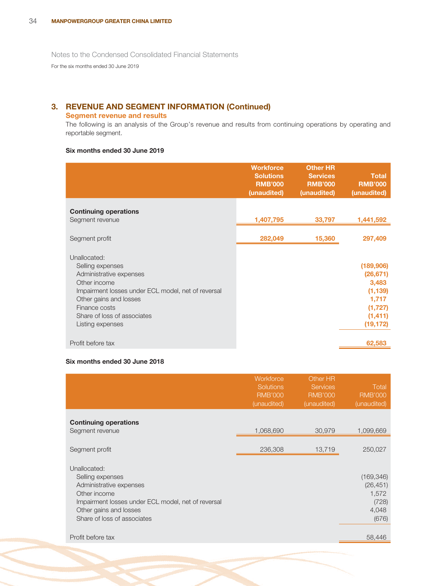For the six months ended 30 June 2019

# **3. REVENUE AND SEGMENT INFORMATION (Continued)**

### **Segment revenue and results**

The following is an analysis of the Group's revenue and results from continuing operations by operating and reportable segment.

### **Six months ended 30 June 2019**

|                                                                                                                                                                                                                                 | <b>Workforce</b><br><b>Solutions</b><br><b>RMB'000</b><br>(unaudited) | <b>Other HR</b><br><b>Services</b><br><b>RMB'000</b><br>(unaudited) | <b>Total</b><br><b>RMB'000</b><br>(unaudited)                                            |
|---------------------------------------------------------------------------------------------------------------------------------------------------------------------------------------------------------------------------------|-----------------------------------------------------------------------|---------------------------------------------------------------------|------------------------------------------------------------------------------------------|
| <b>Continuing operations</b><br>Segment revenue                                                                                                                                                                                 | 1,407,795                                                             | 33,797                                                              | 1,441,592                                                                                |
| Segment profit                                                                                                                                                                                                                  | 282,049                                                               | 15,360                                                              | 297,409                                                                                  |
| Unallocated:<br>Selling expenses<br>Administrative expenses<br>Other income<br>Impairment losses under ECL model, net of reversal<br>Other gains and losses<br>Finance costs<br>Share of loss of associates<br>Listing expenses |                                                                       |                                                                     | (189,906)<br>(26, 671)<br>3,483<br>(1, 139)<br>1,717<br>(1,727)<br>(1, 411)<br>(19, 172) |
| Profit before tax                                                                                                                                                                                                               |                                                                       |                                                                     | 62,583                                                                                   |

### **Six months ended 30 June 2018**

|                                                                                                                                                                                            | Workforce<br><b>Solutions</b><br><b>RMB'000</b><br>(unaudited) | Other HR<br><b>Services</b><br><b>RMB'000</b><br>(unaudited) | Total<br><b>RMB'000</b><br>(unaudited)                      |
|--------------------------------------------------------------------------------------------------------------------------------------------------------------------------------------------|----------------------------------------------------------------|--------------------------------------------------------------|-------------------------------------------------------------|
| <b>Continuing operations</b><br>Segment revenue                                                                                                                                            | 1,068,690                                                      | 30,979                                                       | 1,099,669                                                   |
| Segment profit                                                                                                                                                                             | 236,308                                                        | 13,719                                                       | 250,027                                                     |
| Unallocated:<br>Selling expenses<br>Administrative expenses<br>Other income<br>Impairment losses under ECL model, net of reversal<br>Other gains and losses<br>Share of loss of associates |                                                                |                                                              | (169, 346)<br>(26, 451)<br>1,572<br>(728)<br>4,048<br>(676) |
| Profit before tax                                                                                                                                                                          |                                                                |                                                              | 58,446                                                      |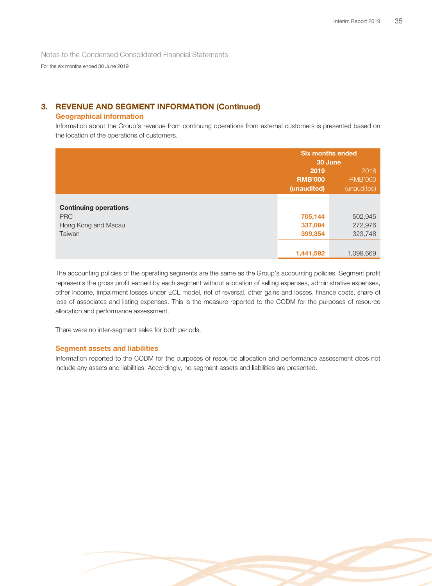For the six months ended 30 June 2019

# **3. REVENUE AND SEGMENT INFORMATION (Continued)**

### **Geographical information**

Information about the Group's revenue from continuing operations from external customers is presented based on the location of the operations of customers.

|                                            | <b>Six months ended</b> |                |  |
|--------------------------------------------|-------------------------|----------------|--|
|                                            |                         | 30 June        |  |
|                                            | 2019                    | 2018           |  |
|                                            | <b>RMB'000</b>          | <b>RMB'000</b> |  |
|                                            | (unaudited)             | (unaudited)    |  |
|                                            |                         |                |  |
| <b>Continuing operations</b><br><b>PRC</b> | 705,144                 | 502,945        |  |
| Hong Kong and Macau                        | 337,094                 | 272,976        |  |
| Taiwan                                     | 399,354                 | 323,748        |  |
|                                            |                         |                |  |
|                                            | 1,441,592               | 1.099.669      |  |

The accounting policies of the operating segments are the same as the Group's accounting policies. Segment profit represents the gross profit earned by each segment without allocation of selling expenses, administrative expenses, other income, impairment losses under ECL model, net of reversal, other gains and losses, finance costs, share of loss of associates and listing expenses. This is the measure reported to the CODM for the purposes of resource allocation and performance assessment.

There were no inter-segment sales for both periods.

### **Segment assets and liabilities**

Information reported to the CODM for the purposes of resource allocation and performance assessment does not include any assets and liabilities. Accordingly, no segment assets and liabilities are presented.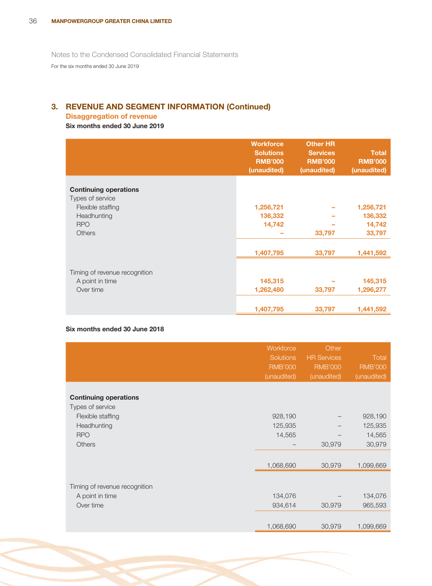# **3. REVENUE AND SEGMENT INFORMATION (Continued)**

# **Disaggregation of revenue**

# **Six months ended 30 June 2019**

|                                       | <b>Workforce</b><br><b>Solutions</b><br><b>RMB'000</b><br>(unaudited) | <b>Other HR</b><br><b>Services</b><br><b>RMB'000</b><br>(unaudited) | <b>Total</b><br><b>RMB'000</b><br>(unaudited) |
|---------------------------------------|-----------------------------------------------------------------------|---------------------------------------------------------------------|-----------------------------------------------|
|                                       |                                                                       |                                                                     |                                               |
| <b>Continuing operations</b>          |                                                                       |                                                                     |                                               |
| Types of service<br>Flexible staffing | 1,256,721                                                             |                                                                     | 1,256,721                                     |
|                                       |                                                                       |                                                                     |                                               |
| Headhunting<br><b>RPO</b>             | 136,332                                                               |                                                                     | 136,332                                       |
|                                       | 14,742                                                                |                                                                     | 14,742                                        |
| <b>Others</b>                         |                                                                       | 33,797                                                              | 33,797                                        |
|                                       | 1,407,795                                                             | 33,797                                                              | 1,441,592                                     |
|                                       |                                                                       |                                                                     |                                               |
| Timing of revenue recognition         |                                                                       |                                                                     |                                               |
| A point in time                       | 145,315                                                               |                                                                     | 145,315                                       |
| Over time                             | 1,262,480                                                             | 33,797                                                              | 1,296,277                                     |
|                                       |                                                                       |                                                                     |                                               |
|                                       | 1,407,795                                                             | 33,797                                                              | 1,441,592                                     |

### **Six months ended 30 June 2018**

|                               | Workforce<br><b>Solutions</b><br><b>RMB'000</b><br>(unaudited) | Other<br><b>HR Services</b><br><b>RMB'000</b><br>(unaudited) | <b>Total</b><br><b>RMB'000</b><br>(unaudited) |
|-------------------------------|----------------------------------------------------------------|--------------------------------------------------------------|-----------------------------------------------|
|                               |                                                                |                                                              |                                               |
| <b>Continuing operations</b>  |                                                                |                                                              |                                               |
| Types of service              |                                                                |                                                              |                                               |
| Flexible staffing             | 928,190                                                        |                                                              | 928,190                                       |
| Headhunting                   | 125,935                                                        |                                                              | 125,935                                       |
| <b>RPO</b>                    | 14,565                                                         |                                                              | 14,565                                        |
| <b>Others</b>                 |                                                                | 30,979                                                       | 30,979                                        |
|                               |                                                                |                                                              |                                               |
|                               | 1,068,690                                                      | 30,979                                                       | 1,099,669                                     |
|                               |                                                                |                                                              |                                               |
| Timing of revenue recognition |                                                                |                                                              |                                               |
| A point in time               | 134,076                                                        |                                                              | 134,076                                       |
| Over time                     | 934,614                                                        | 30,979                                                       | 965,593                                       |
|                               |                                                                |                                                              |                                               |
|                               | 1,068,690                                                      | 30,979                                                       | 1,099,669                                     |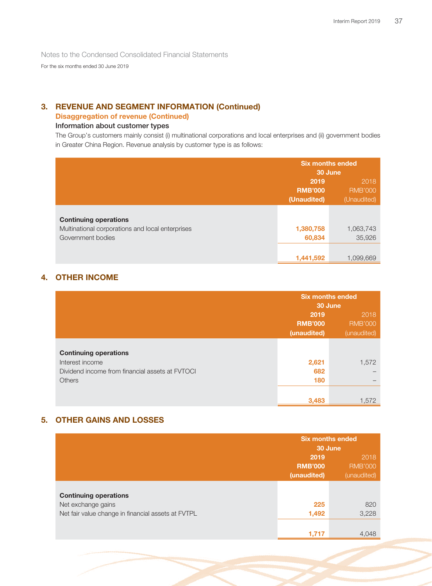For the six months ended 30 June 2019

# **3. REVENUE AND SEGMENT INFORMATION (Continued)**

# **Disaggregation of revenue (Continued)**

# **Information about customer types**

The Group's customers mainly consist (i) multinational corporations and local enterprises and (ii) government bodies in Greater China Region. Revenue analysis by customer type is as follows:

|                                                                                                       | <b>Six months ended</b><br>30 June |                     |
|-------------------------------------------------------------------------------------------------------|------------------------------------|---------------------|
|                                                                                                       | 2019                               | 2018                |
|                                                                                                       | <b>RMB'000</b>                     | <b>RMB'000</b>      |
|                                                                                                       | (Unaudited)                        | (Unaudited)         |
| <b>Continuing operations</b><br>Multinational corporations and local enterprises<br>Government bodies | 1,380,758<br>60,834                | 1,063,743<br>35,926 |
|                                                                                                       | 1,441,592                          | 1.099.669           |

# **4. OTHER INCOME**

|                                                                                                                     | <b>Six months ended</b><br>30 June |                        |
|---------------------------------------------------------------------------------------------------------------------|------------------------------------|------------------------|
|                                                                                                                     | 2019<br><b>RMB'000</b>             | 2018<br><b>RMB'000</b> |
|                                                                                                                     | (unaudited)                        | (unaudited)            |
| <b>Continuing operations</b><br>Interest income<br>Dividend income from financial assets at EVTOCI<br><b>Others</b> | 2,621<br>682<br>180                | 1,572                  |
|                                                                                                                     | 3,483                              | 1,572                  |

# **5. OTHER GAINS AND LOSSES**

|                                                    |                | <b>Six months ended</b><br>30 June |  |
|----------------------------------------------------|----------------|------------------------------------|--|
|                                                    | 2019           | 2018                               |  |
|                                                    | <b>RMB'000</b> | <b>RMB'000</b>                     |  |
|                                                    | (unaudited)    | (unaudited)                        |  |
| <b>Continuing operations</b>                       |                |                                    |  |
| Net exchange gains                                 | 225            | 820                                |  |
| Net fair value change in financial assets at FVTPL | 1,492          | 3,228                              |  |
|                                                    |                |                                    |  |
|                                                    | 1,717          | 4,048                              |  |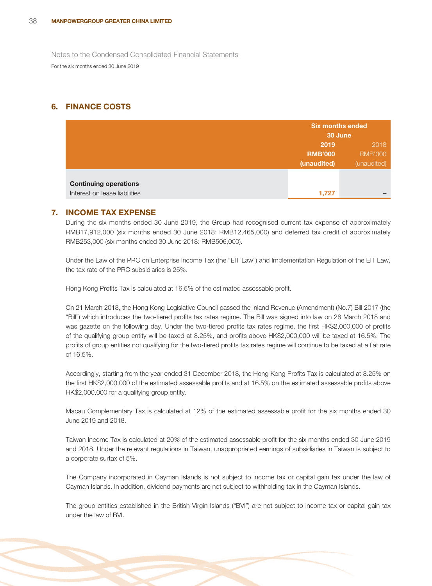# **6. FINANCE COSTS**

|                               |                | <b>Six months ended</b><br>30 June |  |
|-------------------------------|----------------|------------------------------------|--|
|                               | 2019           | 2018                               |  |
|                               | <b>RMB'000</b> | <b>RMB'000</b>                     |  |
|                               | (unaudited)    | (unaudited)                        |  |
|                               |                |                                    |  |
| <b>Continuing operations</b>  |                |                                    |  |
| Interest on lease liabilities | 1,727          |                                    |  |

### **7. INCOME TAX EXPENSE**

During the six months ended 30 June 2019, the Group had recognised current tax expense of approximately RMB17,912,000 (six months ended 30 June 2018: RMB12,465,000) and deferred tax credit of approximately RMB253,000 (six months ended 30 June 2018: RMB506,000).

Under the Law of the PRC on Enterprise Income Tax (the "EIT Law") and Implementation Regulation of the EIT Law, the tax rate of the PRC subsidiaries is 25%.

Hong Kong Profits Tax is calculated at 16.5% of the estimated assessable profit.

On 21 March 2018, the Hong Kong Legislative Council passed the Inland Revenue (Amendment) (No.7) Bill 2017 (the "Bill") which introduces the two-tiered profits tax rates regime. The Bill was signed into law on 28 March 2018 and was gazette on the following day. Under the two-tiered profits tax rates regime, the first HK\$2,000,000 of profits of the qualifying group entity will be taxed at 8.25%, and profits above HK\$2,000,000 will be taxed at 16.5%. The profits of group entities not qualifying for the two-tiered profits tax rates regime will continue to be taxed at a flat rate of 16.5%.

Accordingly, starting from the year ended 31 December 2018, the Hong Kong Profits Tax is calculated at 8.25% on the first HK\$2,000,000 of the estimated assessable profits and at 16.5% on the estimated assessable profits above HK\$2,000,000 for a qualifying group entity.

Macau Complementary Tax is calculated at 12% of the estimated assessable profit for the six months ended 30 June 2019 and 2018.

Taiwan Income Tax is calculated at 20% of the estimated assessable profit for the six months ended 30 June 2019 and 2018. Under the relevant regulations in Taiwan, unappropriated earnings of subsidiaries in Taiwan is subject to a corporate surtax of 5%.

The Company incorporated in Cayman Islands is not subject to income tax or capital gain tax under the law of Cayman Islands. In addition, dividend payments are not subject to withholding tax in the Cayman Islands.

The group entities established in the British Virgin Islands ("BVI") are not subject to income tax or capital gain tax under the law of BVI.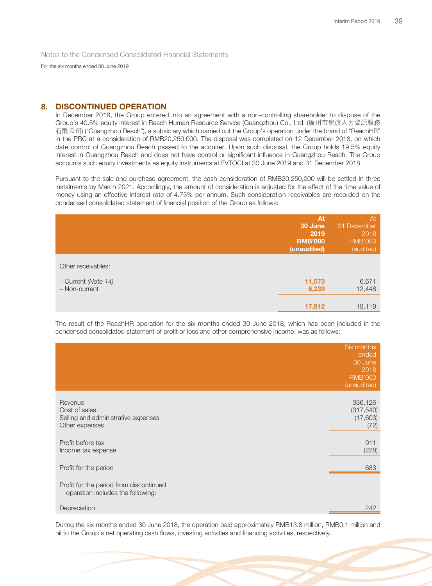For the six months ended 30 June 2019

### **8. DISCONTINUED OPERATION**

In December 2018, the Group entered into an agreement with a non-controlling shareholder to dispose of the Group's 40.5% equity interest in Reach Human Resource Service (Guangzhou) Co., Ltd. (廣州市銳旗人力資源服務 有限公司) ("Guangzhou Reach"), a subsidiary which carried out the Group's operation under the brand of "ReachHR" in the PRC at a consideration of RMB20,250,000. The disposal was completed on 12 December 2018, on which date control of Guangzhou Reach passed to the acquirer. Upon such disposal, the Group holds 19.5% equity interest in Guangzhou Reach and does not have control or significant influence in Guangzhou Reach. The Group accounts such equity investments as equity instruments at FVTOCI at 30 June 2019 and 31 December 2018.

Pursuant to the sale and purchase agreement, the cash consideration of RMB20,250,000 will be settled in three instalments by March 2021. Accordingly, the amount of consideration is adjusted for the effect of the time value of money using an effective interest rate of 4.75% per annum. Such consideration receivables are recorded on the condensed consolidated statement of financial position of the Group as follows:

|                                      | At<br>30 June<br>2019<br><b>RMB'000</b><br>(unaudited) | At<br>31 December<br>2018<br><b>RMB'000</b><br>(audited) |
|--------------------------------------|--------------------------------------------------------|----------------------------------------------------------|
| Other receivables:                   |                                                        |                                                          |
| - Current (Note 14)<br>- Non-current | 11,573<br>6,239                                        | 6,671<br>12,448                                          |
|                                      | 17,812                                                 | 19,119                                                   |

The result of the ReachHR operation for the six months ended 30 June 2018, which has been included in the condensed consolidated statement of profit or loss and other comprehensive income, was as follows:

|                                                                                   | Six months<br>ended<br>30 June<br>2018<br><b>RMB'000</b><br>(unaudited) |
|-----------------------------------------------------------------------------------|-------------------------------------------------------------------------|
| Revenue<br>Cost of sales<br>Selling and administrative expenses<br>Other expenses | 336,126<br>(317, 540)<br>(17,603)<br>(72)                               |
| Profit before tax<br>Income tax expense                                           | 911<br>(228)                                                            |
| Profit for the period                                                             | 683                                                                     |
| Profit for the period from discontinued<br>operation includes the following:      |                                                                         |
| Depreciation                                                                      | 242                                                                     |

During the six months ended 30 June 2018, the operation paid approximately RMB13.8 million, RMB0.1 million and nil to the Group's net operating cash flows, investing activities and financing activities, respectively.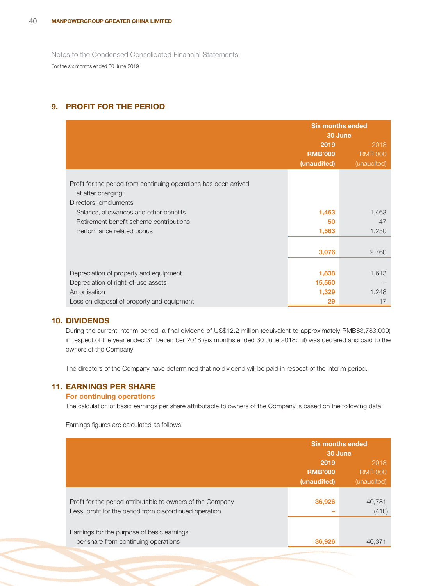# **9. PROFIT FOR THE PERIOD**

|                                                                                                                  | <b>Six months ended</b><br>30 June |                |
|------------------------------------------------------------------------------------------------------------------|------------------------------------|----------------|
|                                                                                                                  | 2019                               | 2018           |
|                                                                                                                  | <b>RMB'000</b>                     | <b>RMB'000</b> |
|                                                                                                                  | (unaudited)                        | (unaudited)    |
| Profit for the period from continuing operations has been arrived<br>at after charging:<br>Directors' emoluments |                                    |                |
| Salaries, allowances and other benefits                                                                          | 1,463                              | 1,463          |
| Retirement benefit scheme contributions                                                                          | 50                                 | 47             |
| Performance related bonus                                                                                        | 1,563                              | 1,250          |
|                                                                                                                  |                                    |                |
|                                                                                                                  | 3,076                              | 2,760          |
|                                                                                                                  |                                    |                |
| Depreciation of property and equipment                                                                           | 1,838                              | 1,613          |
| Depreciation of right-of-use assets                                                                              | 15,560                             |                |
| Amortisation                                                                                                     | 1,329                              | 1,248          |
| Loss on disposal of property and equipment                                                                       | 29                                 | 17             |

### **10. DIVIDENDS**

During the current interim period, a final dividend of US\$12.2 million (equivalent to approximately RMB83,783,000) in respect of the year ended 31 December 2018 (six months ended 30 June 2018: nil) was declared and paid to the owners of the Company.

The directors of the Company have determined that no dividend will be paid in respect of the interim period.

### **11. EARNINGS PER SHARE**

### **For continuing operations**

The calculation of basic earnings per share attributable to owners of the Company is based on the following data:

Earnings figures are calculated as follows:

|                                                                                                                        | <b>Six months ended</b><br>30 June |                 |
|------------------------------------------------------------------------------------------------------------------------|------------------------------------|-----------------|
|                                                                                                                        | 2019                               | 2018            |
|                                                                                                                        | <b>RMB'000</b>                     | <b>RMB'000</b>  |
|                                                                                                                        | (unaudited)                        | (unaudited)     |
| Profit for the period attributable to owners of the Company<br>Less: profit for the period from discontinued operation | 36,926                             | 40.781<br>(410) |
| Earnings for the purpose of basic earnings<br>per share from continuing operations                                     | 36,926                             | 40.371          |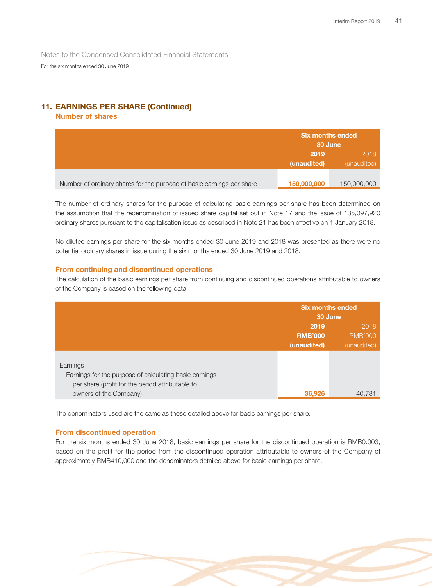# **11. EARNINGS PER SHARE (Continued)**

### **Number of shares**

|                                                                       | <b>Six months ended</b><br>30 June |                     |
|-----------------------------------------------------------------------|------------------------------------|---------------------|
|                                                                       | 2019<br>(unaudited)                | 2018<br>(unaudited) |
| Number of ordinary shares for the purpose of basic earnings per share | 150,000,000                        | 150,000,000         |

The number of ordinary shares for the purpose of calculating basic earnings per share has been determined on the assumption that the redenomination of issued share capital set out in Note 17 and the issue of 135,097,920 ordinary shares pursuant to the capitalisation issue as described in Note 21 has been effective on 1 January 2018.

No diluted earnings per share for the six months ended 30 June 2019 and 2018 was presented as there were no potential ordinary shares in issue during the six months ended 30 June 2019 and 2018.

### **From continuing and discontinued operations**

The calculation of the basic earnings per share from continuing and discontinued operations attributable to owners of the Company is based on the following data:

|                                                                                                                        | <b>Six months ended</b><br>30 June |                |
|------------------------------------------------------------------------------------------------------------------------|------------------------------------|----------------|
|                                                                                                                        | 2019                               | 2018           |
|                                                                                                                        | <b>RMB'000</b>                     | <b>RMB'000</b> |
|                                                                                                                        | (unaudited)                        | (unaudited)    |
| Earnings<br>Earnings for the purpose of calculating basic earnings<br>per share (profit for the period attributable to |                                    |                |
| owners of the Company)                                                                                                 | 36,926                             | 40.781         |

The denominators used are the same as those detailed above for basic earnings per share.

### **From discontinued operation**

For the six months ended 30 June 2018, basic earnings per share for the discontinued operation is RMB0.003, based on the profit for the period from the discontinued operation attributable to owners of the Company of approximately RMB410,000 and the denominators detailed above for basic earnings per share.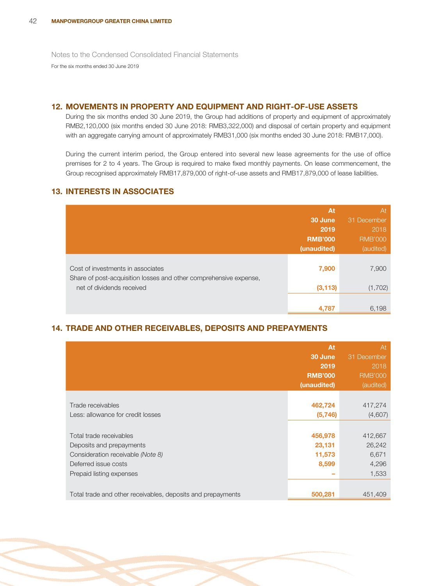# **12. MOVEMENTS IN PROPERTY AND EQUIPMENT AND RIGHT-OF-USE ASSETS**

During the six months ended 30 June 2019, the Group had additions of property and equipment of approximately RMB2,120,000 (six months ended 30 June 2018: RMB3,322,000) and disposal of certain property and equipment with an aggregate carrying amount of approximately RMB31,000 (six months ended 30 June 2018: RMB17,000).

During the current interim period, the Group entered into several new lease agreements for the use of office premises for 2 to 4 years. The Group is required to make fixed monthly payments. On lease commencement, the Group recognised approximately RMB17,879,000 of right-of-use assets and RMB17,879,000 of lease liabilities.

# **13. INTERESTS IN ASSOCIATES**

|                                                                                                        | At             | At             |
|--------------------------------------------------------------------------------------------------------|----------------|----------------|
|                                                                                                        | 30 June        | 31 December    |
|                                                                                                        | 2019           | 2018           |
|                                                                                                        | <b>RMB'000</b> | <b>RMB'000</b> |
|                                                                                                        | (unaudited)    | (audited)      |
| Cost of investments in associates<br>Share of post-acquisition losses and other comprehensive expense, | 7,900          | 7,900          |
| net of dividends received                                                                              | (3, 113)       | (1,702)        |
|                                                                                                        |                |                |
|                                                                                                        | 4,787          | 6,198          |

# **14. TRADE AND OTHER RECEIVABLES, DEPOSITS AND PREPAYMENTS**

|                                                                                                                                              | <b>At</b><br>30 June<br>2019<br><b>RMB'000</b><br>(unaudited) | At<br>31 December<br>2018<br><b>RMB'000</b><br>(audited) |
|----------------------------------------------------------------------------------------------------------------------------------------------|---------------------------------------------------------------|----------------------------------------------------------|
| Trade receivables<br>Less: allowance for credit losses                                                                                       | 462,724<br>(5, 746)                                           | 417,274<br>(4,607)                                       |
| Total trade receivables<br>Deposits and prepayments<br>Consideration receivable (Note 8)<br>Deferred issue costs<br>Prepaid listing expenses | 456,978<br>23,131<br>11,573<br>8,599                          | 412,667<br>26,242<br>6,671<br>4,296<br>1,533             |
| Total trade and other receivables, deposits and prepayments                                                                                  | 500,281                                                       | 451,409                                                  |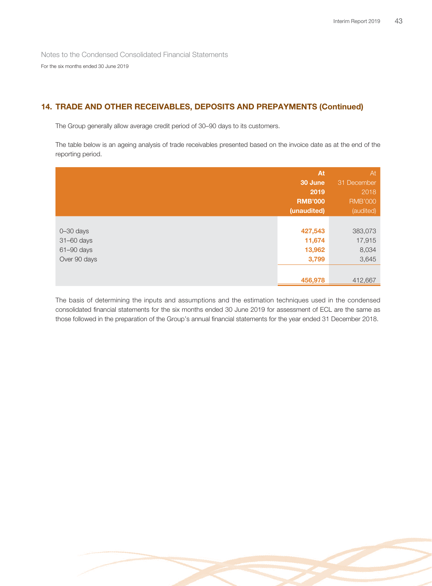# **14. TRADE AND OTHER RECEIVABLES, DEPOSITS AND PREPAYMENTS (Continued)**

The Group generally allow average credit period of 30–90 days to its customers.

The table below is an ageing analysis of trade receivables presented based on the invoice date as at the end of the reporting period.

|               | At             | At             |
|---------------|----------------|----------------|
|               | 30 June        | 31 December    |
|               | 2019           | 2018           |
|               | <b>RMB'000</b> | <b>RMB'000</b> |
|               | (unaudited)    | (audited)      |
|               |                |                |
| $0 - 30$ days | 427,543        | 383,073        |
| 31-60 days    | 11,674         | 17,915         |
| 61-90 days    | 13,962         | 8,034          |
| Over 90 days  | 3,799          | 3,645          |
|               |                |                |
|               | 456,978        | 412,667        |

The basis of determining the inputs and assumptions and the estimation techniques used in the condensed consolidated financial statements for the six months ended 30 June 2019 for assessment of ECL are the same as those followed in the preparation of the Group's annual financial statements for the year ended 31 December 2018.

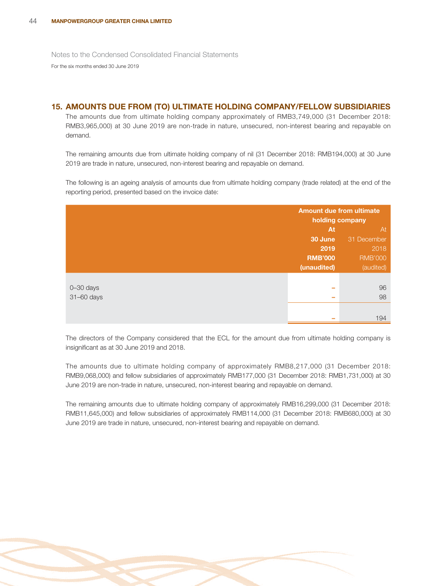### **15. AMOUNTS DUE FROM (TO) ULTIMATE HOLDING COMPANY/FELLOW SUBSIDIARIES**

The amounts due from ultimate holding company approximately of RMB3,749,000 (31 December 2018: RMB3,965,000) at 30 June 2019 are non-trade in nature, unsecured, non-interest bearing and repayable on demand.

The remaining amounts due from ultimate holding company of nil (31 December 2018: RMB194,000) at 30 June 2019 are trade in nature, unsecured, non-interest bearing and repayable on demand.

The following is an ageing analysis of amounts due from ultimate holding company (trade related) at the end of the reporting period, presented based on the invoice date:

|               | <b>Amount due from ultimate</b><br>holding company |                |
|---------------|----------------------------------------------------|----------------|
|               | At                                                 | At             |
|               | 30 June                                            | 31 December    |
|               | 2019                                               | 2018           |
|               | <b>RMB'000</b>                                     | <b>RMB'000</b> |
|               | (unaudited)                                        | (audited)      |
|               |                                                    |                |
| $0 - 30$ days | ــ                                                 | 96             |
| 31-60 days    | -                                                  | 98             |
|               |                                                    |                |
|               |                                                    | 194            |

The directors of the Company considered that the ECL for the amount due from ultimate holding company is insignificant as at 30 June 2019 and 2018.

The amounts due to ultimate holding company of approximately RMB8,217,000 (31 December 2018: RMB9,068,000) and fellow subsidiaries of approximately RMB177,000 (31 December 2018: RMB1,731,000) at 30 June 2019 are non-trade in nature, unsecured, non-interest bearing and repayable on demand.

The remaining amounts due to ultimate holding company of approximately RMB16,299,000 (31 December 2018: RMB11,645,000) and fellow subsidiaries of approximately RMB114,000 (31 December 2018: RMB680,000) at 30 June 2019 are trade in nature, unsecured, non-interest bearing and repayable on demand.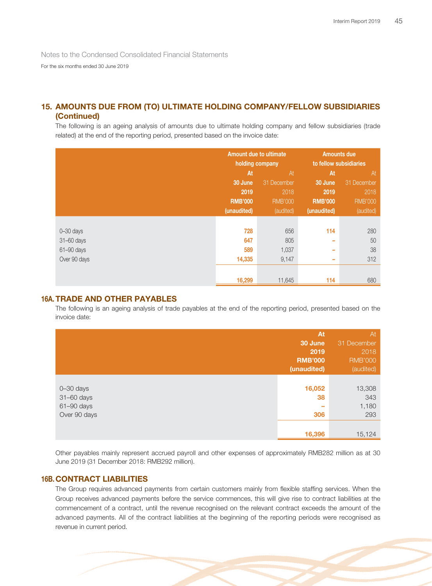For the six months ended 30 June 2019

# **15. AMOUNTS DUE FROM (TO) ULTIMATE HOLDING COMPANY/FELLOW SUBSIDIARIES (Continued)**

The following is an ageing analysis of amounts due to ultimate holding company and fellow subsidiaries (trade related) at the end of the reporting period, presented based on the invoice date:

|               | <b>Amount due to ultimate</b><br>holding company |                | <b>Amounts due</b><br>to fellow subsidiaries |                |
|---------------|--------------------------------------------------|----------------|----------------------------------------------|----------------|
|               | At<br>At                                         |                | At                                           | At             |
|               | 30 June                                          | 31 December    | 30 June                                      | 31 December    |
|               | 2019                                             | 2018           | 2019                                         | 2018           |
|               | <b>RMB'000</b>                                   | <b>RMB'000</b> | <b>RMB'000</b>                               | <b>RMB'000</b> |
|               | (unaudited)                                      | (audited)      | (unaudited)                                  | (audited)      |
|               |                                                  |                |                                              |                |
| $0 - 30$ days | 728                                              | 656            | 114                                          | 280            |
| 31-60 days    | 647                                              | 805            | ٠                                            | 50             |
| 61-90 days    | 589                                              | 1,037          | ۰                                            | 38             |
| Over 90 days  | 14,335                                           | 9,147          | ۰                                            | 312            |
|               |                                                  |                |                                              |                |
|               | 16,299                                           | 11,645         | 114                                          | 680            |

### **16A. TRADE AND OTHER PAYABLES**

The following is an ageing analysis of trade payables at the end of the reporting period, presented based on the invoice date:

|                                                           | At<br>30 June<br>2019<br><b>RMB'000</b><br>(unaudited) | At<br>31 December<br>2018<br><b>RMB'000</b><br>(audited) |
|-----------------------------------------------------------|--------------------------------------------------------|----------------------------------------------------------|
| $0 - 30$ days<br>31-60 days<br>61-90 days<br>Over 90 days | 16,052<br>38<br>-<br>306                               | 13,308<br>343<br>1,180<br>293                            |
|                                                           | 16,396                                                 | 15,124                                                   |

Other payables mainly represent accrued payroll and other expenses of approximately RMB282 million as at 30 June 2019 (31 December 2018: RMB292 million).

### **16B. CONTRACT LIABILITIES**

The Group requires advanced payments from certain customers mainly from flexible staffing services. When the Group receives advanced payments before the service commences, this will give rise to contract liabilities at the commencement of a contract, until the revenue recognised on the relevant contract exceeds the amount of the advanced payments. All of the contract liabilities at the beginning of the reporting periods were recognised as revenue in current period.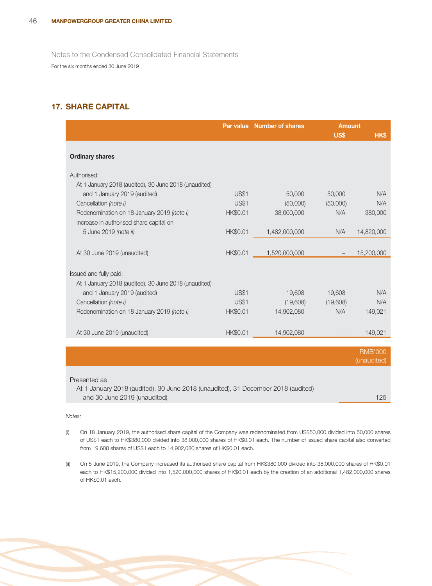# **17. SHARE CAPITAL**

|                                                                                       |                 | Par value Number of shares | <b>Amount</b><br>US\$ | <b>HKS</b>                    |
|---------------------------------------------------------------------------------------|-----------------|----------------------------|-----------------------|-------------------------------|
| <b>Ordinary shares</b>                                                                |                 |                            |                       |                               |
| Authorised:                                                                           |                 |                            |                       |                               |
| At 1 January 2018 (audited), 30 June 2018 (unaudited)                                 |                 |                            |                       |                               |
| and 1 January 2019 (audited)                                                          | <b>US\$1</b>    | 50,000                     | 50,000                | N/A                           |
| Cancellation (note i)                                                                 | <b>US\$1</b>    | (50,000)                   | (50,000)              | N/A                           |
| Redenomination on 18 January 2019 (note i)<br>Increase in authorised share capital on | HK\$0.01        | 38,000,000                 | N/A                   | 380,000                       |
| 5 June 2019 (note ii)                                                                 | <b>HK\$0.01</b> | 1,482,000,000              | N/A                   | 14,820,000                    |
| At 30 June 2019 (unaudited)                                                           | HK\$0.01        | 1,520,000,000              |                       | 15,200,000                    |
| Issued and fully paid:                                                                |                 |                            |                       |                               |
| At 1 January 2018 (audited), 30 June 2018 (unaudited)                                 |                 |                            |                       |                               |
| and 1 January 2019 (audited)                                                          | <b>US\$1</b>    | 19,608                     | 19,608                | N/A                           |
| Cancellation (note i)                                                                 | <b>US\$1</b>    | (19,608)                   | (19,608)              | N/A                           |
| Redenomination on 18 January 2019 (note i)                                            | HK\$0.01        | 14,902,080                 | N/A                   | 149,021                       |
| At 30 June 2019 (unaudited)                                                           | <b>HK\$0.01</b> | 14,902,080                 |                       | 149,021                       |
|                                                                                       |                 |                            |                       |                               |
|                                                                                       |                 |                            |                       | <b>RMB'000</b><br>(unaudited) |

Presented as

At 1 January 2018 (audited), 30 June 2018 (unaudited), 31 December 2018 (audited) and 30 June 2019 (unaudited) **125** and 30 June 2019 (unaudited) **125** 

### Notes:

- (i) On 18 January 2019, the authorised share capital of the Company was redenominated from US\$50,000 divided into 50,000 shares of US\$1 each to HK\$380,000 divided into 38,000,000 shares of HK\$0.01 each. The number of issued share capital also converted from 19,608 shares of US\$1 each to 14,902,080 shares of HK\$0.01 each.
- (ii) On 5 June 2019, the Company increased its authorised share capital from HK\$380,000 divided into 38,000,000 shares of HK\$0.01 each to HK\$15,200,000 divided into 1,520,000,000 shares of HK\$0.01 each by the creation of an additional 1,482,000,000 shares of HK\$0.01 each.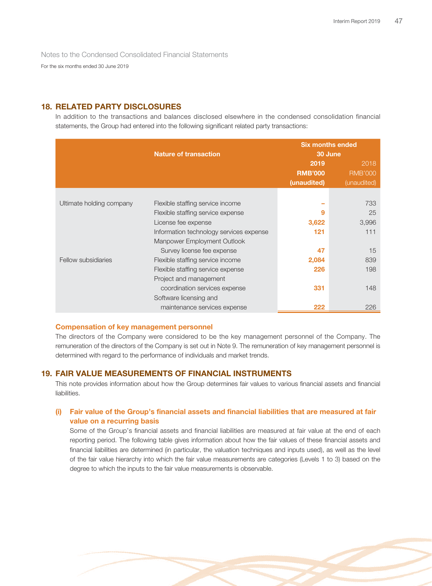For the six months ended 30 June 2019

# **18. RELATED PARTY DISCLOSURES**

In addition to the transactions and balances disclosed elsewhere in the condensed consolidation financial statements, the Group had entered into the following significant related party transactions:

|                          |                                         | <b>Six months ended</b><br>30 June |                |  |
|--------------------------|-----------------------------------------|------------------------------------|----------------|--|
|                          | <b>Nature of transaction</b>            |                                    |                |  |
|                          |                                         | 2019                               | 2018           |  |
|                          |                                         | <b>RMB'000</b>                     | <b>RMB'000</b> |  |
|                          |                                         | (unaudited)                        | (unaudited)    |  |
|                          |                                         |                                    |                |  |
| Ultimate holding company | Flexible staffing service income        |                                    | 733            |  |
|                          | Flexible staffing service expense       | 9                                  | 25             |  |
|                          | License fee expense                     | 3,622                              | 3,996          |  |
|                          | Information technology services expense | 121                                | 111            |  |
|                          | Manpower Employment Outlook             |                                    |                |  |
|                          | Survey license fee expense              | 47                                 | 15             |  |
| Fellow subsidiaries      | Flexible staffing service income        | 2,084                              | 839            |  |
|                          | Flexible staffing service expense       | 226                                | 198            |  |
|                          | Project and management                  |                                    |                |  |
|                          | coordination services expense           | 331                                | 148            |  |
|                          | Software licensing and                  |                                    |                |  |
|                          | maintenance services expense            | 222                                | 226            |  |

### **Compensation of key management personnel**

The directors of the Company were considered to be the key management personnel of the Company. The remuneration of the directors of the Company is set out in Note 9. The remuneration of key management personnel is determined with regard to the performance of individuals and market trends.

### **19. FAIR VALUE MEASUREMENTS OF FINANCIAL INSTRUMENTS**

This note provides information about how the Group determines fair values to various financial assets and financial liabilities.

# **(i) Fair value of the Group's financial assets and financial liabilities that are measured at fair value on a recurring basis**

Some of the Group's financial assets and financial liabilities are measured at fair value at the end of each reporting period. The following table gives information about how the fair values of these financial assets and financial liabilities are determined (in particular, the valuation techniques and inputs used), as well as the level of the fair value hierarchy into which the fair value measurements are categories (Levels 1 to 3) based on the degree to which the inputs to the fair value measurements is observable.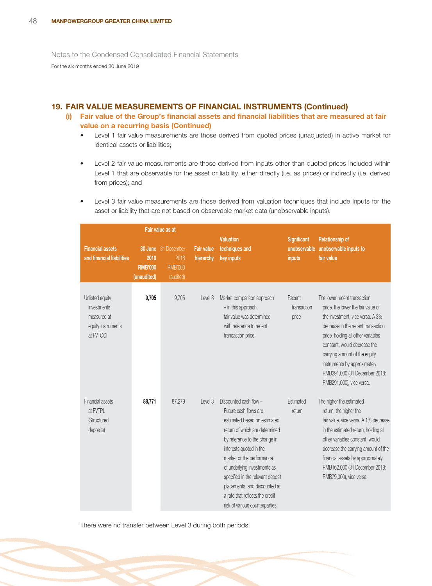# **19. FAIR VALUE MEASUREMENTS OF FINANCIAL INSTRUMENTS (Continued)**

- **(i) Fair value of the Group's financial assets and financial liabilities that are measured at fair value on a recurring basis (Continued)**
	- Level 1 fair value measurements are those derived from quoted prices (unadjusted) in active market for identical assets or liabilities;
	- Level 2 fair value measurements are those derived from inputs other than quoted prices included within Level 1 that are observable for the asset or liability, either directly (i.e. as prices) or indirectly (i.e. derived from prices); and
	- Level 3 fair value measurements are those derived from valuation techniques that include inputs for the asset or liability that are not based on observable market data (unobservable inputs).

| Fair value as at                                                                 |                                       |                                                                   |                                |                                                                                                                                                                                                                                                                                                                                                                                        |                                              |                                                                                                                                                                                                                                                                                                                                                  |
|----------------------------------------------------------------------------------|---------------------------------------|-------------------------------------------------------------------|--------------------------------|----------------------------------------------------------------------------------------------------------------------------------------------------------------------------------------------------------------------------------------------------------------------------------------------------------------------------------------------------------------------------------------|----------------------------------------------|--------------------------------------------------------------------------------------------------------------------------------------------------------------------------------------------------------------------------------------------------------------------------------------------------------------------------------------------------|
| <b>Financial assets</b><br>and financial liabilities                             | 2019<br><b>RMB'000</b><br>(unaudited) | <b>30 June</b> 31 December<br>2018<br><b>RMB'000</b><br>(audited) | <b>Fair value</b><br>hierarchy | <b>Valuation</b><br>techniques and<br>key inputs                                                                                                                                                                                                                                                                                                                                       | <b>Significant</b><br>unobservable<br>inputs | <b>Relationship of</b><br>unobservable inputs to<br>fair value                                                                                                                                                                                                                                                                                   |
| Unlisted equity<br>investments<br>measured at<br>equity instruments<br>at FVTOCI | 9,705                                 | 9,705                                                             | Level 3                        | Market comparison approach<br>- in this approach,<br>fair value was determined<br>with reference to recent<br>transaction price.                                                                                                                                                                                                                                                       | Recent<br>transaction<br>price               | The lower recent transaction<br>price, the lower the fair value of<br>the investment, vice versa. A 3%<br>decrease in the recent transaction<br>price, holding all other variables<br>constant, would decrease the<br>carrying amount of the equity<br>instruments by approximately<br>RMB291,000 (31 December 2018:<br>RMB291,000), vice versa. |
| Financial assets<br>at FVTPL<br>(Structured<br>deposits)                         | 88,771                                | 87,279                                                            | Level 3                        | Discounted cash flow -<br>Future cash flows are<br>estimated based on estimated<br>return of which are determined<br>by reference to the change in<br>interests quoted in the<br>market or the performance<br>of underlying investments as<br>specified in the relevant deposit<br>placements, and discounted at<br>a rate that reflects the credit<br>risk of various counterparties. | Estimated<br>return                          | The higher the estimated<br>return, the higher the<br>fair value, vice versa. A 1% decrease<br>in the estimated return, holding all<br>other variables constant, would<br>decrease the carrying amount of the<br>financial assets by approximately<br>RMB162,000 (31 December 2018:<br>RMB79,000), vice versa.                                   |

There were no transfer between Level 3 during both periods.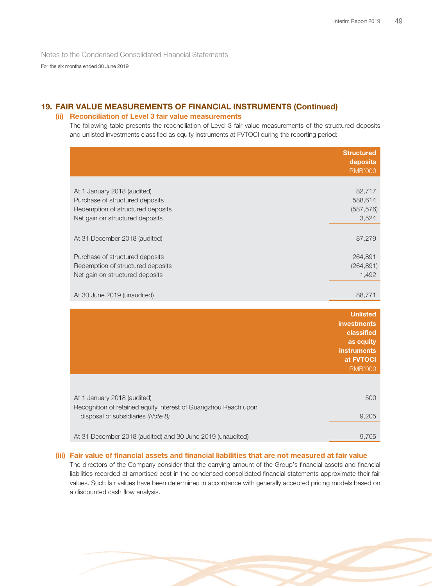For the six months ended 30 June 2019

# **19. FAIR VALUE MEASUREMENTS OF FINANCIAL INSTRUMENTS (Continued)**

### **(ii) Reconciliation of Level 3 fair value measurements**

The following table presents the reconciliation of Level 3 fair value measurements of the structured deposits and unlisted investments classified as equity instruments at FVTOCI during the reporting period:

|                                                                                                         | <b>Structured</b><br>deposits<br><b>RMB'000</b>                |
|---------------------------------------------------------------------------------------------------------|----------------------------------------------------------------|
| At 1 January 2018 (audited)                                                                             | 82,717                                                         |
| Purchase of structured deposits<br>Redemption of structured deposits<br>Net gain on structured deposits | 588,614<br>(587, 576)<br>3,524                                 |
| At 31 December 2018 (audited)                                                                           | 87,279                                                         |
| Purchase of structured deposits                                                                         | 264,891                                                        |
| Redemption of structured deposits<br>Net gain on structured deposits                                    | (264, 891)<br>1,492                                            |
| At 30 June 2019 (unaudited)                                                                             | 88,771                                                         |
|                                                                                                         | <b>Unlisted</b><br><b>investments</b><br>classified            |
|                                                                                                         | as equity<br><b>instruments</b><br>at FVTOCI<br><b>RMB'000</b> |
|                                                                                                         |                                                                |
| At 1 January 2018 (audited)<br>Recognition of retained equity interest of Guangzhou Reach upon          | 500                                                            |
| disposal of subsidiaries (Note 8)                                                                       | 9,205                                                          |
| At 31 December 2018 (audited) and 30 June 2019 (unaudited)                                              | 9,705                                                          |

### **(iii) Fair value of financial assets and financial liabilities that are not measured at fair value**

The directors of the Company consider that the carrying amount of the Group's financial assets and financial liabilities recorded at amortised cost in the condensed consolidated financial statements approximate their fair values. Such fair values have been determined in accordance with generally accepted pricing models based on a discounted cash flow analysis.